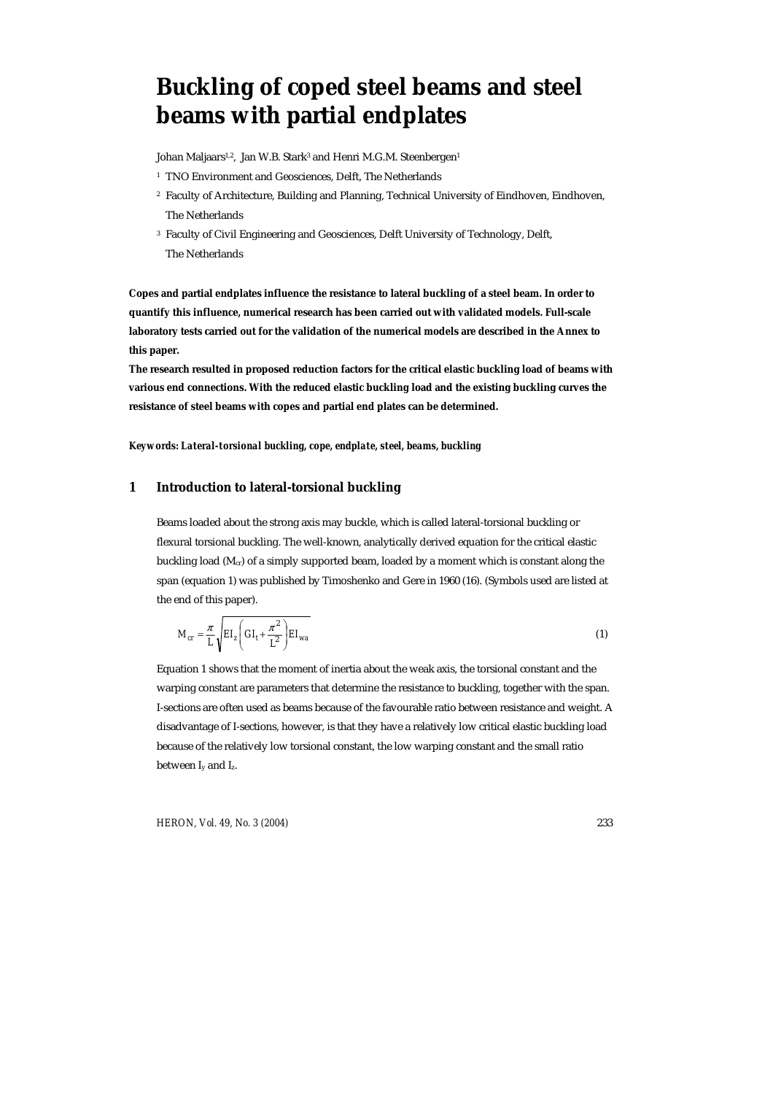# **Buckling of coped steel beams and steel beams with partial endplates**

Johan Maljaars<sup>1,2</sup>, Jan W.B. Stark<sup>3</sup> and Henri M.G.M. Steenbergen<sup>1</sup>

- <sup>1</sup> TNO Environment and Geosciences, Delft, The Netherlands
- 2 Faculty of Architecture, Building and Planning, Technical University of Eindhoven, Eindhoven, The Netherlands
- <sup>3</sup> Faculty of Civil Engineering and Geosciences, Delft University of Technology, Delft, The Netherlands

**Copes and partial endplates influence the resistance to lateral buckling of a steel beam. In order to quantify this influence, numerical research has been carried out with validated models. Full-scale laboratory tests carried out for the validation of the numerical models are described in the Annex to this paper.** 

**The research resulted in proposed reduction factors for the critical elastic buckling load of beams with various end connections. With the reduced elastic buckling load and the existing buckling curves the resistance of steel beams with copes and partial end plates can be determined.** 

*Keywords: Lateral-torsional buckling, cope, endplate, steel, beams, buckling* 

## **1 Introduction to lateral-torsional buckling**

Beams loaded about the strong axis may buckle, which is called lateral-torsional buckling or flexural torsional buckling. The well-known, analytically derived equation for the critical elastic buckling load (M<sub>cr</sub>) of a simply supported beam, loaded by a moment which is constant along the span (equation 1) was published by Timoshenko and Gere in 1960 (16). (Symbols used are listed at the end of this paper).

$$
M_{cr} = \frac{\pi}{L} \sqrt{EI_z \left( GI_t + \frac{\pi^2}{L^2} \right) EI_{wa}} \tag{1}
$$

Equation 1 shows that the moment of inertia about the weak axis, the torsional constant and the warping constant are parameters that determine the resistance to buckling, together with the span. I-sections are often used as beams because of the favourable ratio between resistance and weight. A disadvantage of I-sections, however, is that they have a relatively low critical elastic buckling load because of the relatively low torsional constant, the low warping constant and the small ratio between  $I_v$  and  $I_z$ .

*HERON, Vol. 49, No. 3 (2004)* 233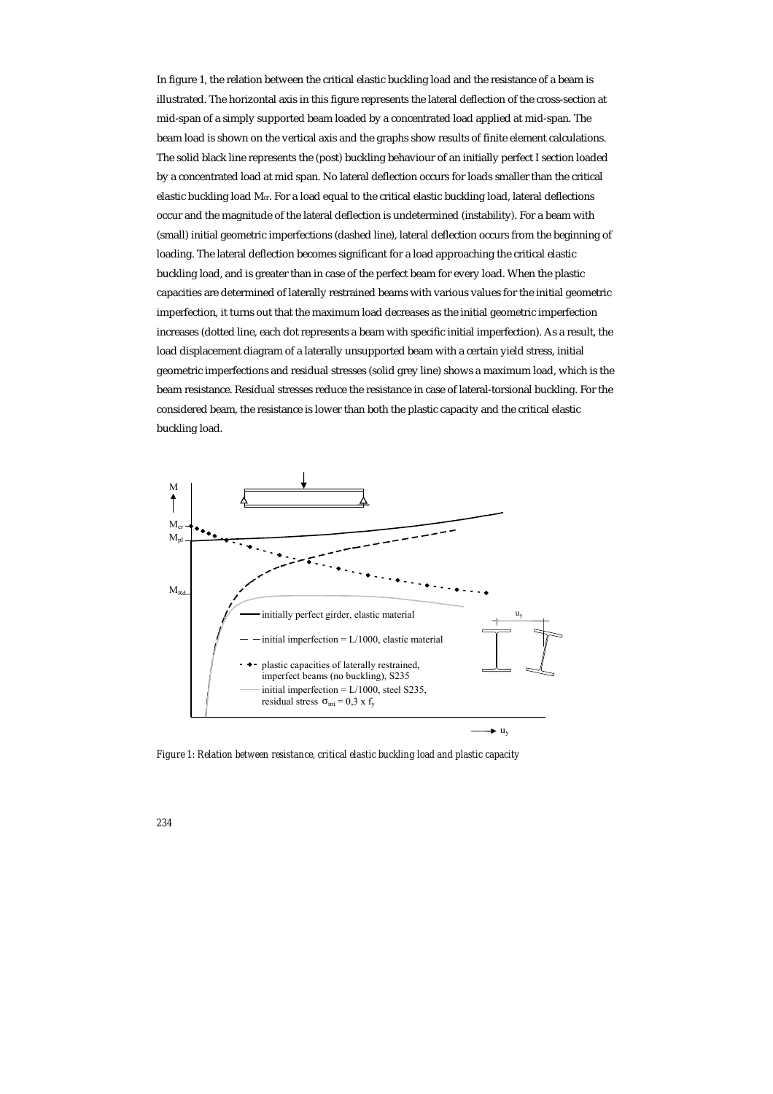In figure 1, the relation between the critical elastic buckling load and the resistance of a beam is illustrated. The horizontal axis in this figure represents the lateral deflection of the cross-section at mid-span of a simply supported beam loaded by a concentrated load applied at mid-span. The beam load is shown on the vertical axis and the graphs show results of finite element calculations. The solid black line represents the (post) buckling behaviour of an initially perfect I section loaded by a concentrated load at mid span. No lateral deflection occurs for loads smaller than the critical elastic buckling load  $M_{cr}$ . For a load equal to the critical elastic buckling load, lateral deflections occur and the magnitude of the lateral deflection is undetermined (instability). For a beam with (small) initial geometric imperfections (dashed line), lateral deflection occurs from the beginning of loading. The lateral deflection becomes significant for a load approaching the critical elastic buckling load, and is greater than in case of the perfect beam for every load. When the plastic capacities are determined of laterally restrained beams with various values for the initial geometric imperfection, it turns out that the maximum load decreases as the initial geometric imperfection increases (dotted line, each dot represents a beam with specific initial imperfection). As a result, the load displacement diagram of a laterally unsupported beam with a certain yield stress, initial geometric imperfections and residual stresses (solid grey line) shows a maximum load, which is the beam resistance. Residual stresses reduce the resistance in case of lateral-torsional buckling. For the considered beam, the resistance is lower than both the plastic capacity and the critical elastic buckling load.



*Figure 1: Relation between resistance, critical elastic buckling load and plastic capacity*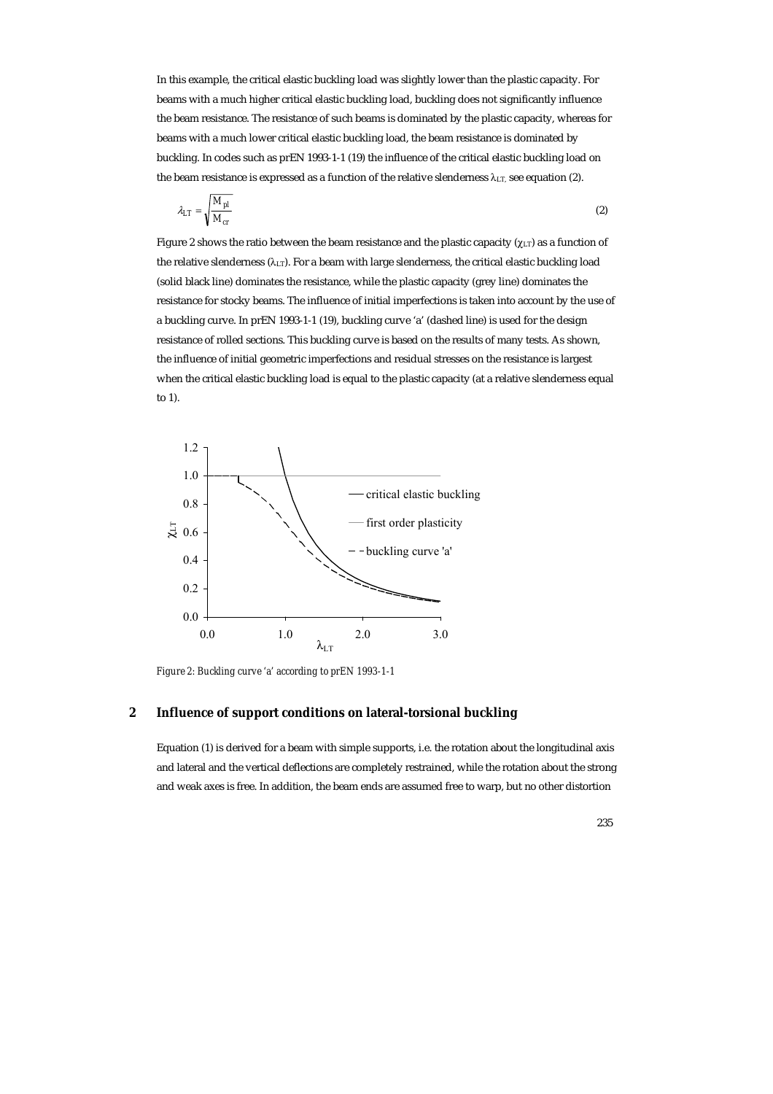In this example, the critical elastic buckling load was slightly lower than the plastic capacity. For beams with a much higher critical elastic buckling load, buckling does not significantly influence the beam resistance. The resistance of such beams is dominated by the plastic capacity, whereas for beams with a much lower critical elastic buckling load, the beam resistance is dominated by buckling. In codes such as prEN 1993-1-1 (19) the influence of the critical elastic buckling load on the beam resistance is expressed as a function of the relative slenderness  $\lambda_{LT}$ , see equation (2).

$$
\lambda_{LT} = \sqrt{\frac{M_{pl}}{M_{cr}}} \tag{2}
$$

Figure 2 shows the ratio between the beam resistance and the plastic capacity ( $\chi_{LT}$ ) as a function of the relative slenderness  $(\lambda_{LT})$ . For a beam with large slenderness, the critical elastic buckling load (solid black line) dominates the resistance, while the plastic capacity (grey line) dominates the resistance for stocky beams. The influence of initial imperfections is taken into account by the use of a buckling curve. In prEN 1993-1-1 (19), buckling curve 'a' (dashed line) is used for the design resistance of rolled sections. This buckling curve is based on the results of many tests. As shown, the influence of initial geometric imperfections and residual stresses on the resistance is largest when the critical elastic buckling load is equal to the plastic capacity (at a relative slenderness equal to 1).



*Figure 2: Buckling curve 'a' according to prEN 1993-1-1* 

# **2 Influence of support conditions on lateral-torsional buckling**

Equation (1) is derived for a beam with simple supports, i.e. the rotation about the longitudinal axis and lateral and the vertical deflections are completely restrained, while the rotation about the strong and weak axes is free. In addition, the beam ends are assumed free to warp, but no other distortion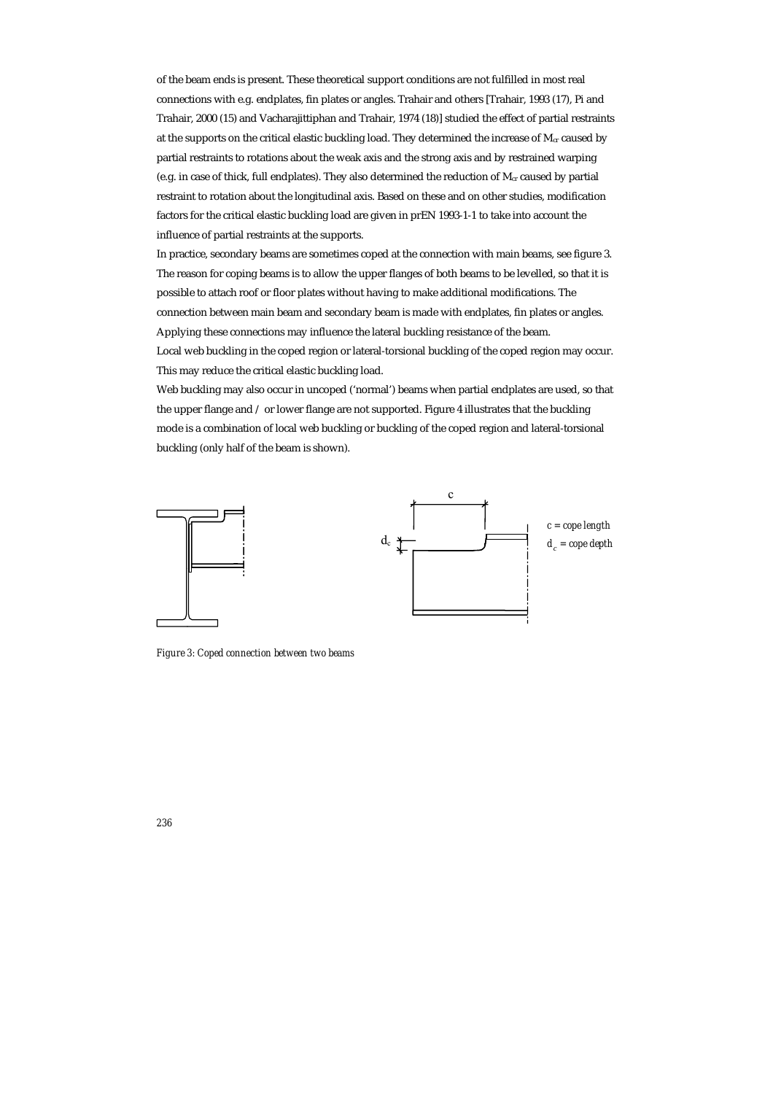of the beam ends is present. These theoretical support conditions are not fulfilled in most real connections with e.g. endplates, fin plates or angles. Trahair and others [Trahair, 1993 (17), Pi and Trahair, 2000 (15) and Vacharajittiphan and Trahair, 1974 (18)] studied the effect of partial restraints at the supports on the critical elastic buckling load. They determined the increase of  $M_{cr}$  caused by partial restraints to rotations about the weak axis and the strong axis and by restrained warping (e.g. in case of thick, full endplates). They also determined the reduction of M<sub>cr</sub> caused by partial restraint to rotation about the longitudinal axis. Based on these and on other studies, modification factors for the critical elastic buckling load are given in prEN 1993-1-1 to take into account the influence of partial restraints at the supports.

In practice, secondary beams are sometimes coped at the connection with main beams, see figure 3. The reason for coping beams is to allow the upper flanges of both beams to be levelled, so that it is possible to attach roof or floor plates without having to make additional modifications. The connection between main beam and secondary beam is made with endplates, fin plates or angles. Applying these connections may influence the lateral buckling resistance of the beam.

Local web buckling in the coped region or lateral-torsional buckling of the coped region may occur. This may reduce the critical elastic buckling load.

Web buckling may also occur in uncoped ('normal') beams when partial endplates are used, so that the upper flange and / or lower flange are not supported. Figure 4 illustrates that the buckling mode is a combination of local web buckling or buckling of the coped region and lateral-torsional buckling (only half of the beam is shown).



*Figure 3: Coped connection between two beams*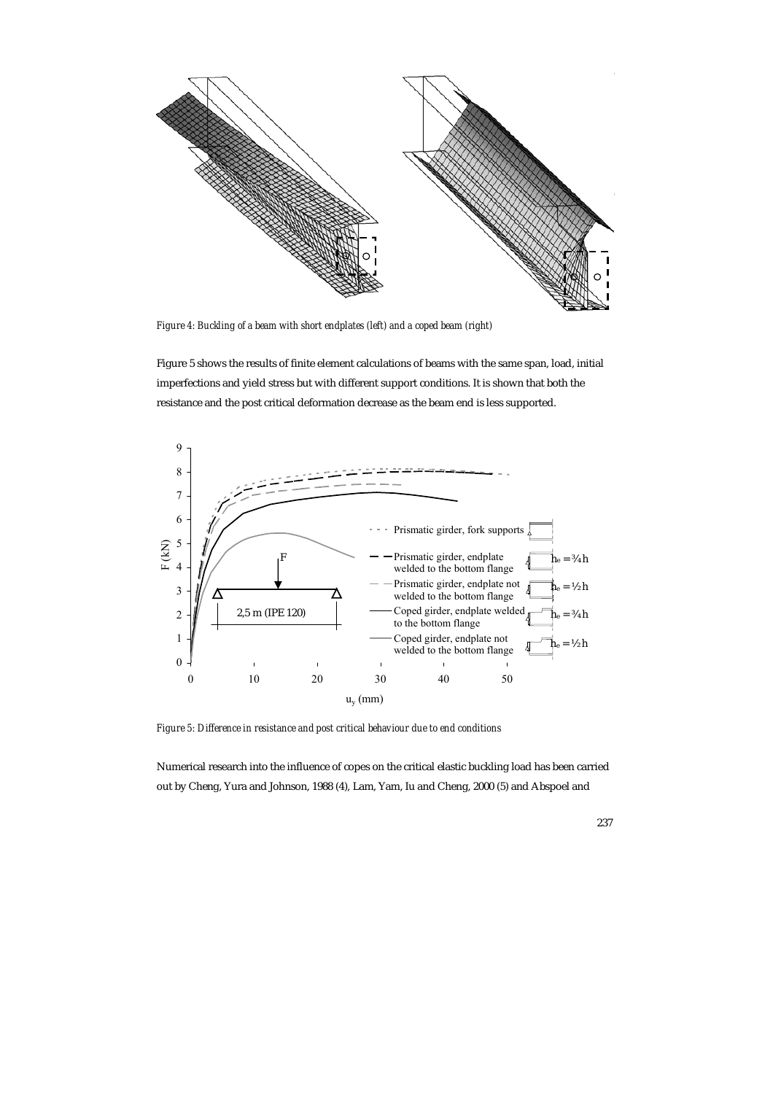

*Figure 4: Buckling of a beam with short endplates (left) and a coped beam (right)* 

Figure 5 shows the results of finite element calculations of beams with the same span, load, initial imperfections and yield stress but with different support conditions. It is shown that both the resistance and the post critical deformation decrease as the beam end is less supported.



*Figure 5: Difference in resistance and post critical behaviour due to end conditions* 

Numerical research into the influence of copes on the critical elastic buckling load has been carried out by Cheng, Yura and Johnson, 1988 (4), Lam, Yam, Iu and Cheng, 2000 (5) and Abspoel and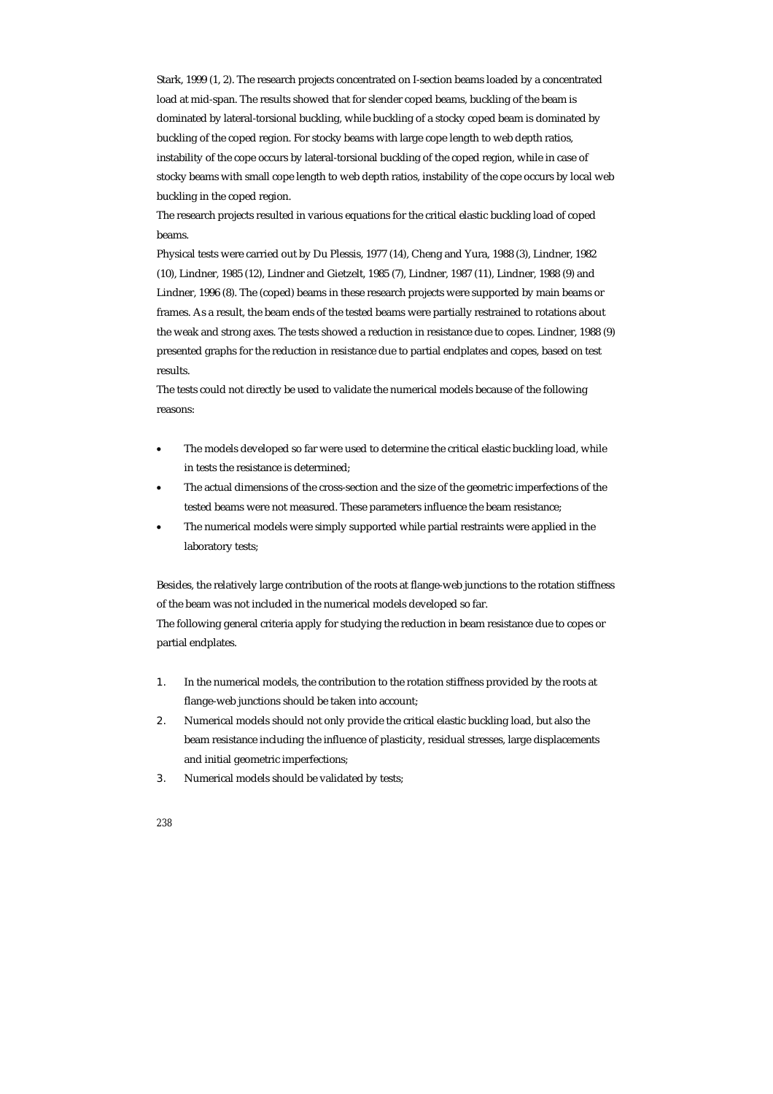Stark, 1999 (1, 2). The research projects concentrated on I-section beams loaded by a concentrated load at mid-span. The results showed that for slender coped beams, buckling of the beam is dominated by lateral-torsional buckling, while buckling of a stocky coped beam is dominated by buckling of the coped region. For stocky beams with large cope length to web depth ratios, instability of the cope occurs by lateral-torsional buckling of the coped region, while in case of stocky beams with small cope length to web depth ratios, instability of the cope occurs by local web buckling in the coped region.

The research projects resulted in various equations for the critical elastic buckling load of coped beams.

Physical tests were carried out by Du Plessis, 1977 (14), Cheng and Yura, 1988 (3), Lindner, 1982 (10), Lindner, 1985 (12), Lindner and Gietzelt, 1985 (7), Lindner, 1987 (11), Lindner, 1988 (9) and Lindner, 1996 (8). The (coped) beams in these research projects were supported by main beams or frames. As a result, the beam ends of the tested beams were partially restrained to rotations about the weak and strong axes. The tests showed a reduction in resistance due to copes. Lindner, 1988 (9) presented graphs for the reduction in resistance due to partial endplates and copes, based on test results.

The tests could not directly be used to validate the numerical models because of the following reasons:

- The models developed so far were used to determine the critical elastic buckling load, while in tests the resistance is determined;
- The actual dimensions of the cross-section and the size of the geometric imperfections of the tested beams were not measured. These parameters influence the beam resistance;
- The numerical models were simply supported while partial restraints were applied in the laboratory tests;

Besides, the relatively large contribution of the roots at flange-web junctions to the rotation stiffness of the beam was not included in the numerical models developed so far.

The following general criteria apply for studying the reduction in beam resistance due to copes or partial endplates.

- 1. In the numerical models, the contribution to the rotation stiffness provided by the roots at flange-web junctions should be taken into account;
- 2. Numerical models should not only provide the critical elastic buckling load, but also the beam resistance including the influence of plasticity, residual stresses, large displacements and initial geometric imperfections;
- 3. Numerical models should be validated by tests;
- *238*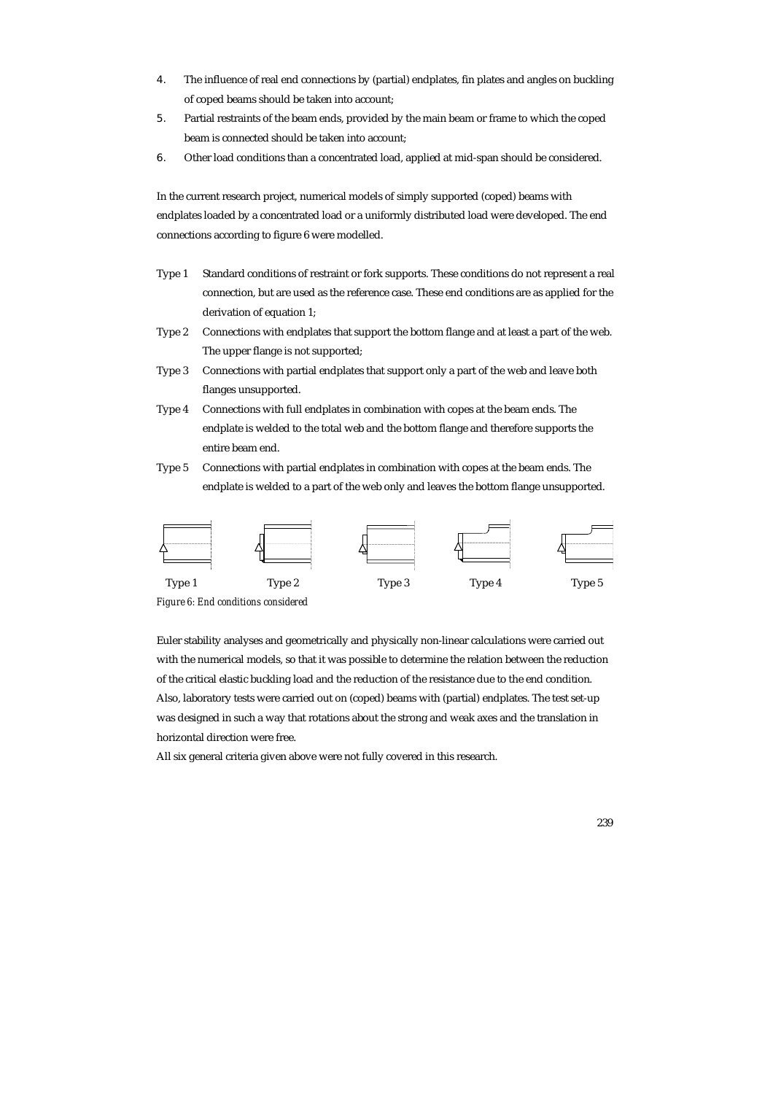- 4. The influence of real end connections by (partial) endplates, fin plates and angles on buckling of coped beams should be taken into account;
- 5. Partial restraints of the beam ends, provided by the main beam or frame to which the coped beam is connected should be taken into account;
- 6. Other load conditions than a concentrated load, applied at mid-span should be considered.

In the current research project, numerical models of simply supported (coped) beams with endplates loaded by a concentrated load or a uniformly distributed load were developed. The end connections according to figure 6 were modelled.

- Type 1 Standard conditions of restraint or fork supports. These conditions do not represent a real connection, but are used as the reference case. These end conditions are as applied for the derivation of equation 1;
- Type 2 Connections with endplates that support the bottom flange and at least a part of the web. The upper flange is not supported;
- Type 3 Connections with partial endplates that support only a part of the web and leave both flanges unsupported.
- Type 4 Connections with full endplates in combination with copes at the beam ends. The endplate is welded to the total web and the bottom flange and therefore supports the entire beam end.
- Type 5 Connections with partial endplates in combination with copes at the beam ends. The endplate is welded to a part of the web only and leaves the bottom flange unsupported.



*Figure 6: End conditions considered* 

Euler stability analyses and geometrically and physically non-linear calculations were carried out with the numerical models, so that it was possible to determine the relation between the reduction of the critical elastic buckling load and the reduction of the resistance due to the end condition. Also, laboratory tests were carried out on (coped) beams with (partial) endplates. The test set-up was designed in such a way that rotations about the strong and weak axes and the translation in horizontal direction were free.

All six general criteria given above were not fully covered in this research.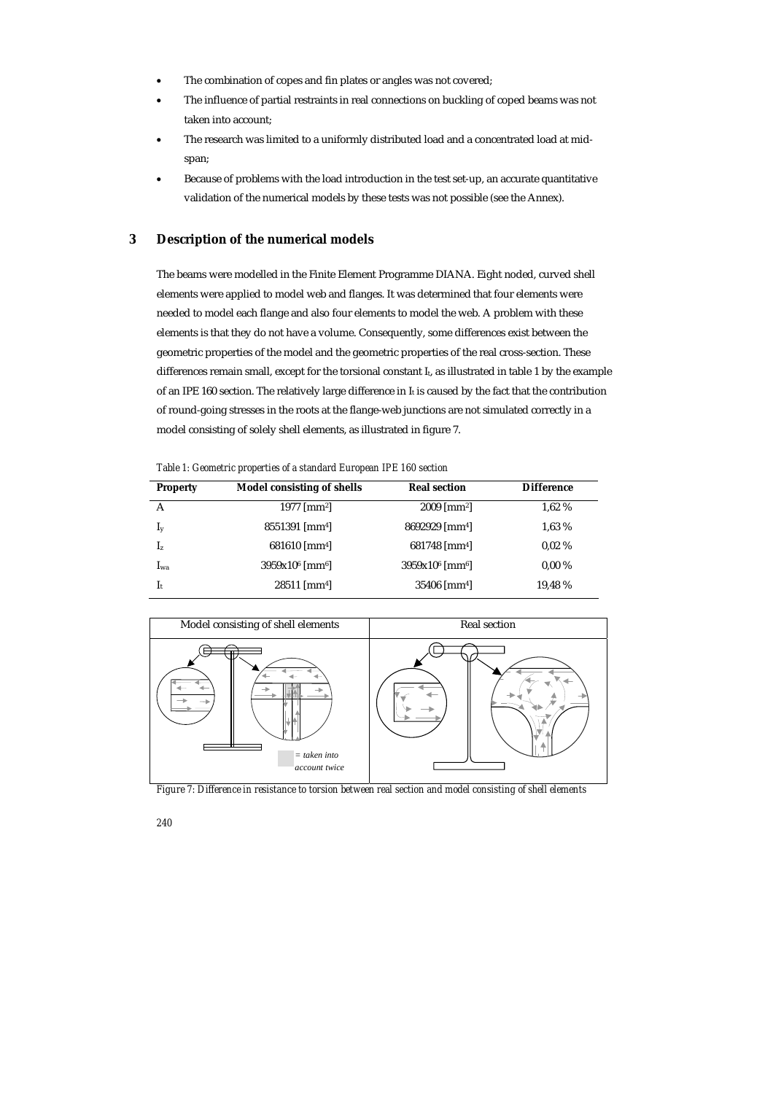- The combination of copes and fin plates or angles was not covered;
- The influence of partial restraints in real connections on buckling of coped beams was not taken into account;
- The research was limited to a uniformly distributed load and a concentrated load at midspan;
- Because of problems with the load introduction in the test set-up, an accurate quantitative validation of the numerical models by these tests was not possible (see the Annex).

## **3 Description of the numerical models**

The beams were modelled in the Finite Element Programme DIANA. Eight noded, curved shell elements were applied to model web and flanges. It was determined that four elements were needed to model each flange and also four elements to model the web. A problem with these elements is that they do not have a volume. Consequently, some differences exist between the geometric properties of the model and the geometric properties of the real cross-section. These differences remain small, except for the torsional constant  $I_t$ , as illustrated in table 1 by the example of an IPE 160 section. The relatively large difference in It is caused by the fact that the contribution of round-going stresses in the roots at the flange-web junctions are not simulated correctly in a model consisting of solely shell elements, as illustrated in figure 7.

*Table 1: Geometric properties of a standard European IPE 160 section* 

| <b>Property</b> | Model consisting of shells    | <b>Real section</b>           | <b>Difference</b> |
|-----------------|-------------------------------|-------------------------------|-------------------|
| А               | 1977 [ $mm2$ ]                | $2009$ [mm <sup>2</sup> ]     | 1,62 %            |
| $I_{y}$         | 8551391 [mm4]                 | 8692929 [mm <sup>4]</sup>     | 1,63 %            |
| $I_z$           | $681610$ [mm <sup>4</sup> ]   | $681748$ [mm <sup>4</sup> ]   | 0.02%             |
| $I_{wa}$        | $3959x106$ [mm <sup>6</sup> ] | $3959x106$ [mm <sup>6</sup> ] | $0.00\%$          |
| $I_t$           | $28511$ [mm <sup>4]</sup>     | $35406$ [mm <sup>4</sup> ]    | 19,48 %           |



*Figure 7: Difference in resistance to torsion between real section and model consisting of shell elements*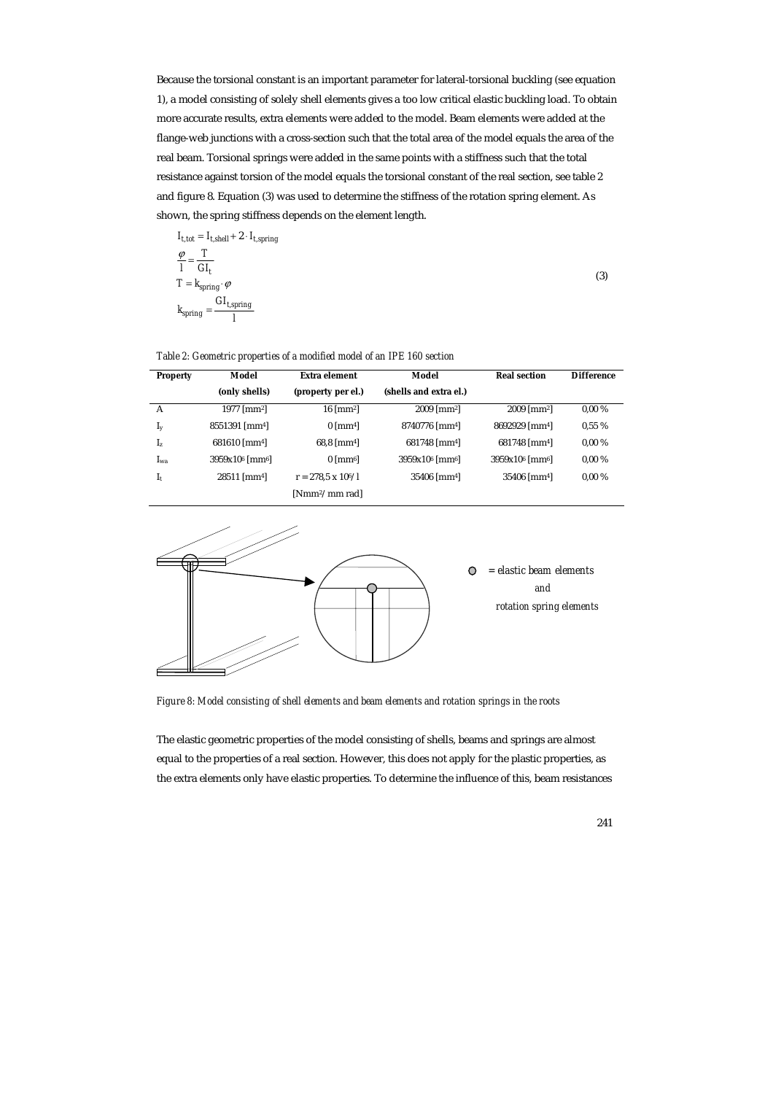Because the torsional constant is an important parameter for lateral-torsional buckling (see equation 1), a model consisting of solely shell elements gives a too low critical elastic buckling load. To obtain more accurate results, extra elements were added to the model. Beam elements were added at the flange-web junctions with a cross-section such that the total area of the model equals the area of the real beam. Torsional springs were added in the same points with a stiffness such that the total resistance against torsion of the model equals the torsional constant of the real section, see table 2 and figure 8. Equation (3) was used to determine the stiffness of the rotation spring element. As shown, the spring stiffness depends on the element length.

$$
I_{t,tot} = I_{t,shell} + 2 \cdot I_{t,spring}
$$

$$
\frac{\varphi}{I} = \frac{T}{GI_t}
$$

$$
T = k_{spring} \cdot \varphi
$$

$$
k_{spring} = \frac{GI_{t,spring}}{I}
$$

$$
(3)
$$

#### *Table 2: Geometric properties of a modified model of an IPE 160 section*

| <b>Property</b> | Model                         | Extra element              | Model                         | <b>Real section</b>                    | <b>Difference</b> |
|-----------------|-------------------------------|----------------------------|-------------------------------|----------------------------------------|-------------------|
|                 | (only shells)                 | (property per el.)         | (shells and extra el.)        |                                        |                   |
| A               | 1977 [ $mm2$ ]                | $16 \text{ [mm2]}$         | $2009$ [mm <sup>2</sup> ]     | $2009$ [mm <sup>2</sup> ]              | $0.00\%$          |
| $I_{y}$         | 8551391 [mm <sup>4]</sup>     | $0 \,[\mathrm{mm}4]$       | 8740776 [mm <sup>4]</sup>     | 8692929 [mm4]                          | 0.55%             |
| $I_z$           | $681610$ [mm <sup>4</sup> ]   | $68.8$ [mm <sup>4]</sup>   | $681748$ [mm <sup>4</sup> ]   | 681748 [mm <sup>4]</sup>               | $0.00\%$          |
| I <sub>wa</sub> | $3959x106$ [mm <sup>6</sup> ] | $0 \,[\text{mm}^6]$        | $3959x106$ [mm <sup>6</sup> ] | 3959x10 <sup>6</sup> [mm <sup>6]</sup> | $0.00\%$          |
| $I_t$           | $28511$ [mm <sup>4</sup> ]    | $r = 278.5 \times 10^6/l$  | $35406$ [mm <sup>4</sup> ]    | $35406$ [mm <sup>4</sup> ]             | $0.00\%$          |
|                 |                               | [Nmm <sup>2</sup> /mm rad] |                               |                                        |                   |



*Figure 8: Model consisting of shell elements and beam elements and rotation springs in the roots* 

The elastic geometric properties of the model consisting of shells, beams and springs are almost equal to the properties of a real section. However, this does not apply for the plastic properties, as the extra elements only have elastic properties. To determine the influence of this, beam resistances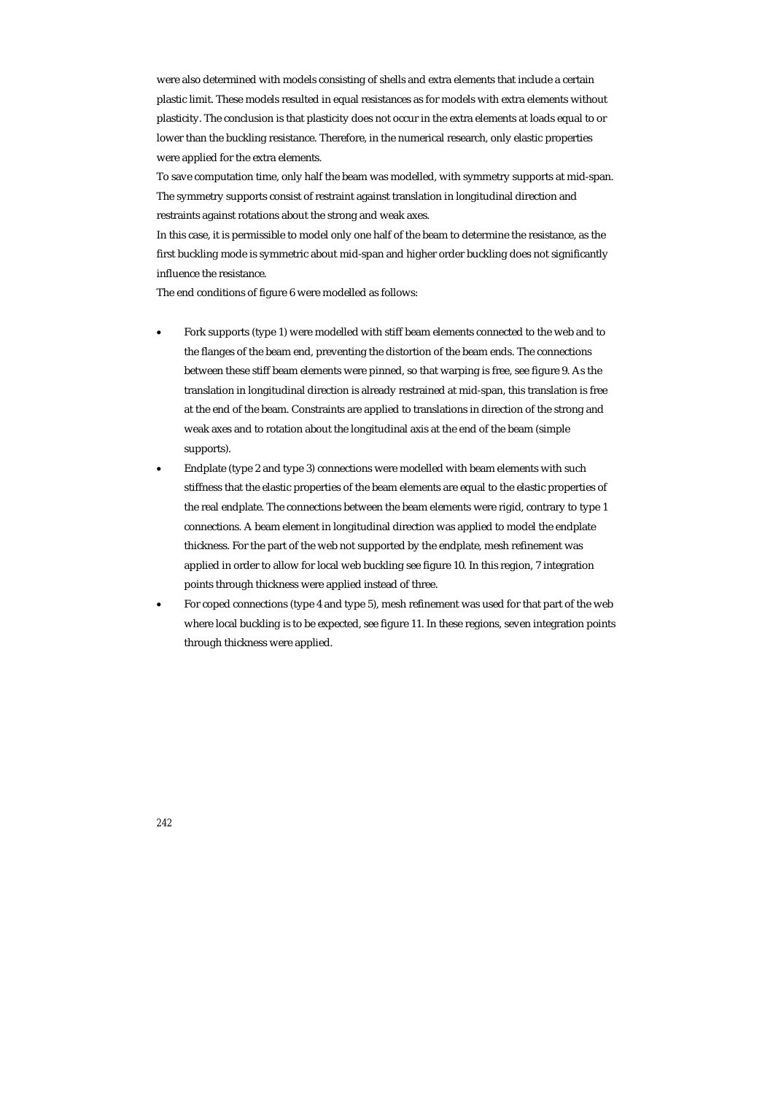were also determined with models consisting of shells and extra elements that include a certain plastic limit. These models resulted in equal resistances as for models with extra elements without plasticity. The conclusion is that plasticity does not occur in the extra elements at loads equal to or lower than the buckling resistance. Therefore, in the numerical research, only elastic properties were applied for the extra elements.

To save computation time, only half the beam was modelled, with symmetry supports at mid-span. The symmetry supports consist of restraint against translation in longitudinal direction and restraints against rotations about the strong and weak axes.

In this case, it is permissible to model only one half of the beam to determine the resistance, as the first buckling mode is symmetric about mid-span and higher order buckling does not significantly influence the resistance.

The end conditions of figure 6 were modelled as follows:

- Fork supports (type 1) were modelled with stiff beam elements connected to the web and to the flanges of the beam end, preventing the distortion of the beam ends. The connections between these stiff beam elements were pinned, so that warping is free, see figure 9. As the translation in longitudinal direction is already restrained at mid-span, this translation is free at the end of the beam. Constraints are applied to translations in direction of the strong and weak axes and to rotation about the longitudinal axis at the end of the beam (simple supports).
- Endplate (type 2 and type 3) connections were modelled with beam elements with such stiffness that the elastic properties of the beam elements are equal to the elastic properties of the real endplate. The connections between the beam elements were rigid, contrary to type 1 connections. A beam element in longitudinal direction was applied to model the endplate thickness. For the part of the web not supported by the endplate, mesh refinement was applied in order to allow for local web buckling see figure 10. In this region, 7 integration points through thickness were applied instead of three.
- For coped connections (type 4 and type 5), mesh refinement was used for that part of the web where local buckling is to be expected, see figure 11. In these regions, seven integration points through thickness were applied.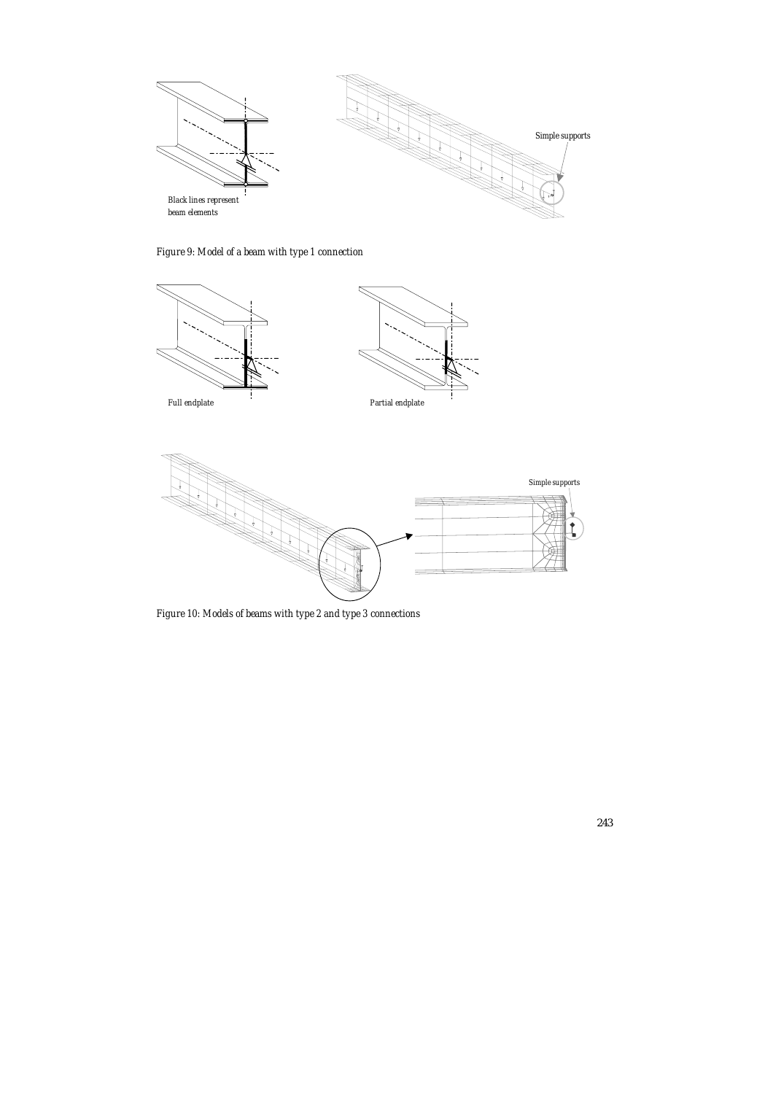

*Figure 9: Model of a beam with type 1 connection* 



*Figure 10: Models of beams with type 2 and type 3 connections*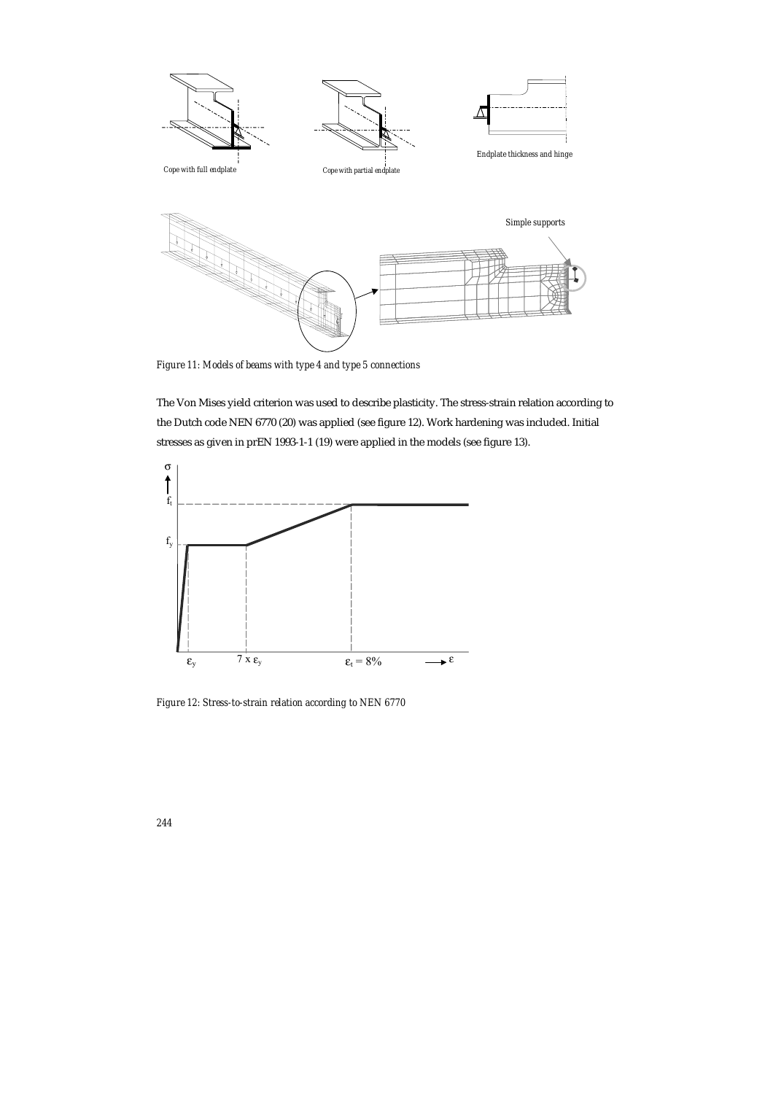

*Figure 11: Models of beams with type 4 and type 5 connections* 

The Von Mises yield criterion was used to describe plasticity. The stress-strain relation according to the Dutch code NEN 6770 (20) was applied (see figure 12). Work hardening was included. Initial stresses as given in prEN 1993-1-1 (19) were applied in the models (see figure 13).



*Figure 12: Stress-to-strain relation according to NEN 6770*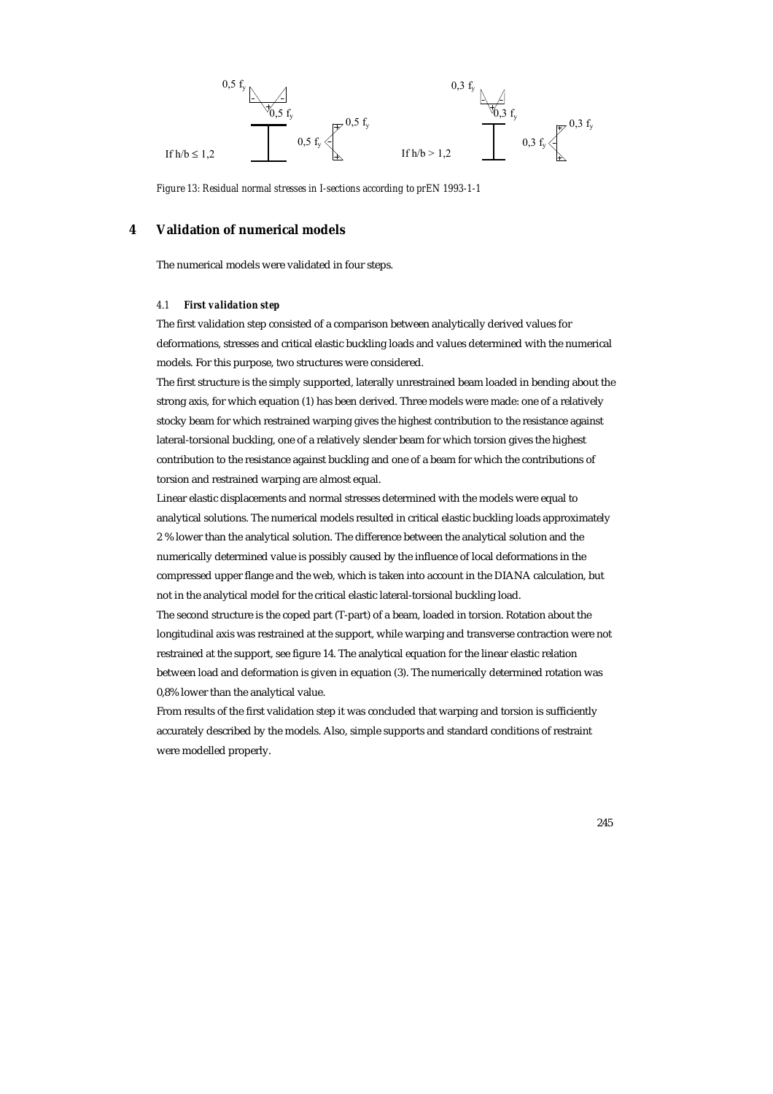

*Figure 13: Residual normal stresses in I-sections according to prEN 1993-1-1* 

## **4 Validation of numerical models**

The numerical models were validated in four steps.

#### *4.1 First validation step*

The first validation step consisted of a comparison between analytically derived values for deformations, stresses and critical elastic buckling loads and values determined with the numerical models. For this purpose, two structures were considered.

The first structure is the simply supported, laterally unrestrained beam loaded in bending about the strong axis, for which equation (1) has been derived. Three models were made: one of a relatively stocky beam for which restrained warping gives the highest contribution to the resistance against lateral-torsional buckling, one of a relatively slender beam for which torsion gives the highest contribution to the resistance against buckling and one of a beam for which the contributions of torsion and restrained warping are almost equal.

Linear elastic displacements and normal stresses determined with the models were equal to analytical solutions. The numerical models resulted in critical elastic buckling loads approximately 2 % lower than the analytical solution. The difference between the analytical solution and the numerically determined value is possibly caused by the influence of local deformations in the compressed upper flange and the web, which is taken into account in the DIANA calculation, but not in the analytical model for the critical elastic lateral-torsional buckling load.

The second structure is the coped part (T-part) of a beam, loaded in torsion. Rotation about the longitudinal axis was restrained at the support, while warping and transverse contraction were not restrained at the support, see figure 14. The analytical equation for the linear elastic relation between load and deformation is given in equation (3). The numerically determined rotation was 0,8% lower than the analytical value.

From results of the first validation step it was concluded that warping and torsion is sufficiently accurately described by the models. Also, simple supports and standard conditions of restraint were modelled properly.

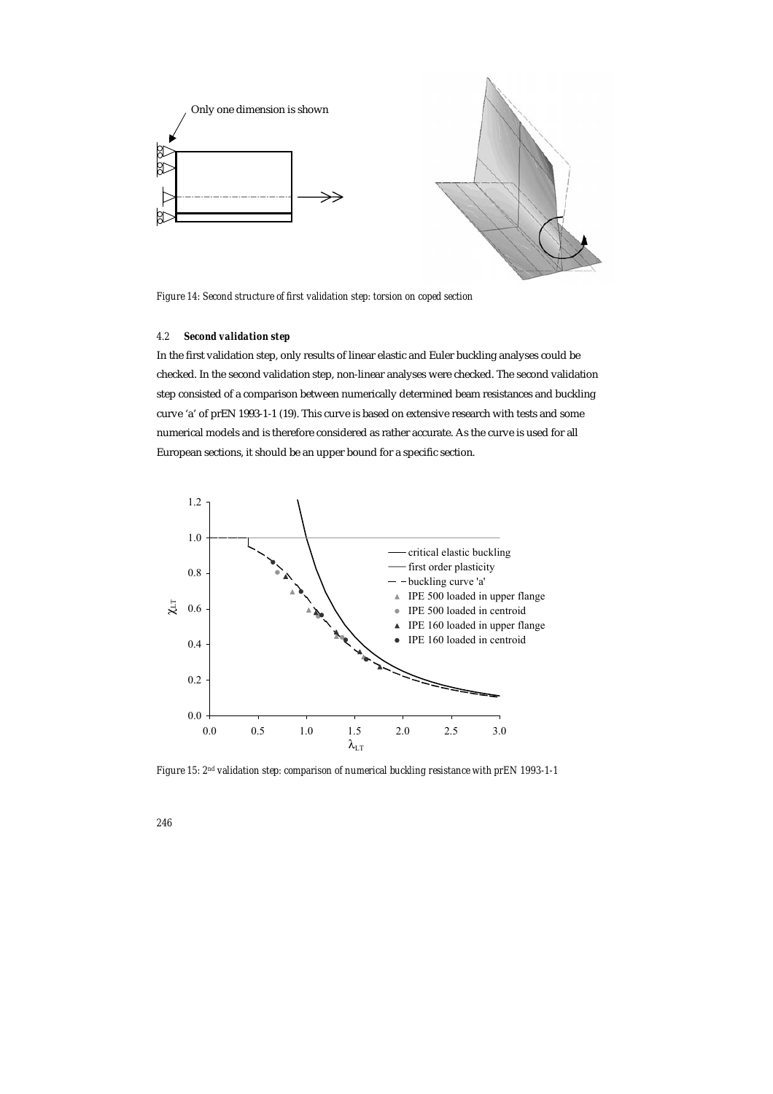

*Figure 14: Second structure of first validation step: torsion on coped section* 

# *4.2 Second validation step*

In the first validation step, only results of linear elastic and Euler buckling analyses could be checked. In the second validation step, non-linear analyses were checked. The second validation step consisted of a comparison between numerically determined beam resistances and buckling curve 'a' of prEN 1993-1-1 (19). This curve is based on extensive research with tests and some numerical models and is therefore considered as rather accurate. As the curve is used for all European sections, it should be an upper bound for a specific section.



*Figure 15: 2nd validation step: comparison of numerical buckling resistance with prEN 1993-1-1*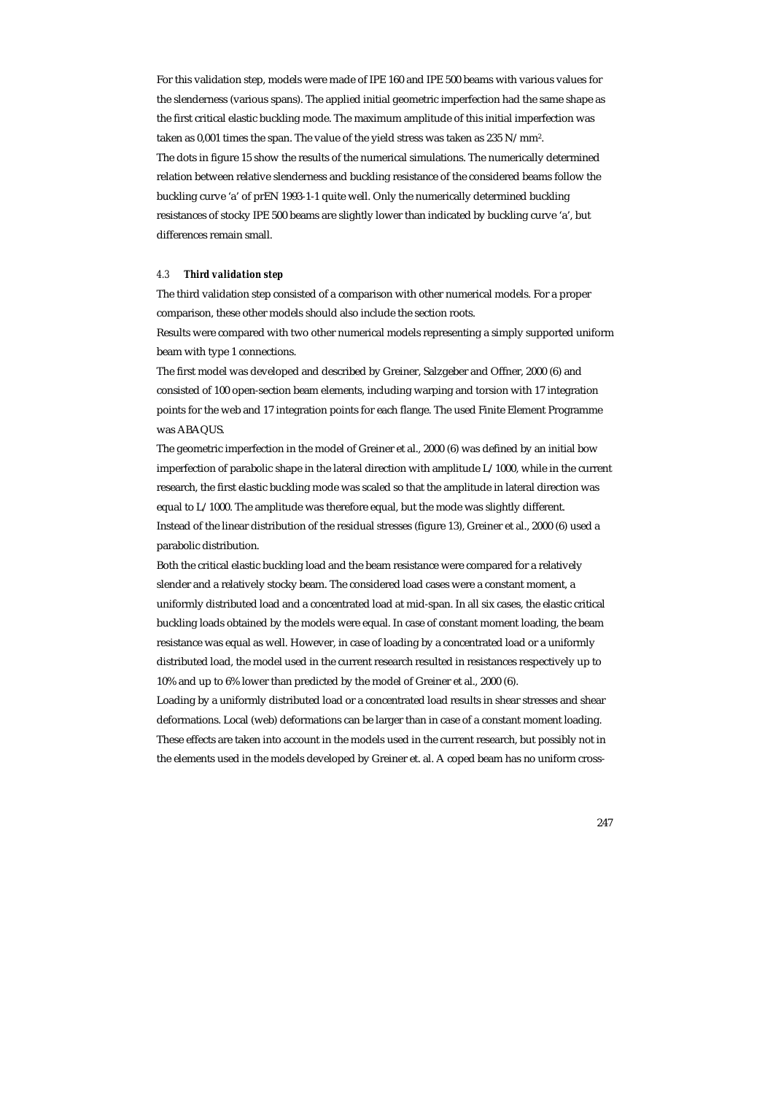For this validation step, models were made of IPE 160 and IPE 500 beams with various values for the slenderness (various spans). The applied initial geometric imperfection had the same shape as the first critical elastic buckling mode. The maximum amplitude of this initial imperfection was taken as 0,001 times the span. The value of the yield stress was taken as 235 N/mm2. The dots in figure 15 show the results of the numerical simulations. The numerically determined relation between relative slenderness and buckling resistance of the considered beams follow the buckling curve 'a' of prEN 1993-1-1 quite well. Only the numerically determined buckling resistances of stocky IPE 500 beams are slightly lower than indicated by buckling curve 'a', but differences remain small.

#### *4.3 Third validation step*

The third validation step consisted of a comparison with other numerical models. For a proper comparison, these other models should also include the section roots.

Results were compared with two other numerical models representing a simply supported uniform beam with type 1 connections.

The first model was developed and described by Greiner, Salzgeber and Offner, 2000 (6) and consisted of 100 open-section beam elements, including warping and torsion with 17 integration points for the web and 17 integration points for each flange. The used Finite Element Programme was ABAQUS.

The geometric imperfection in the model of Greiner et al., 2000 (6) was defined by an initial bow imperfection of parabolic shape in the lateral direction with amplitude L/1000, while in the current research, the first elastic buckling mode was scaled so that the amplitude in lateral direction was equal to L/1000. The amplitude was therefore equal, but the mode was slightly different. Instead of the linear distribution of the residual stresses (figure 13), Greiner et al., 2000 (6) used a parabolic distribution.

Both the critical elastic buckling load and the beam resistance were compared for a relatively slender and a relatively stocky beam. The considered load cases were a constant moment, a uniformly distributed load and a concentrated load at mid-span. In all six cases, the elastic critical buckling loads obtained by the models were equal. In case of constant moment loading, the beam resistance was equal as well. However, in case of loading by a concentrated load or a uniformly distributed load, the model used in the current research resulted in resistances respectively up to 10% and up to 6% lower than predicted by the model of Greiner et al., 2000 (6).

Loading by a uniformly distributed load or a concentrated load results in shear stresses and shear deformations. Local (web) deformations can be larger than in case of a constant moment loading. These effects are taken into account in the models used in the current research, but possibly not in the elements used in the models developed by Greiner et. al. A coped beam has no uniform cross-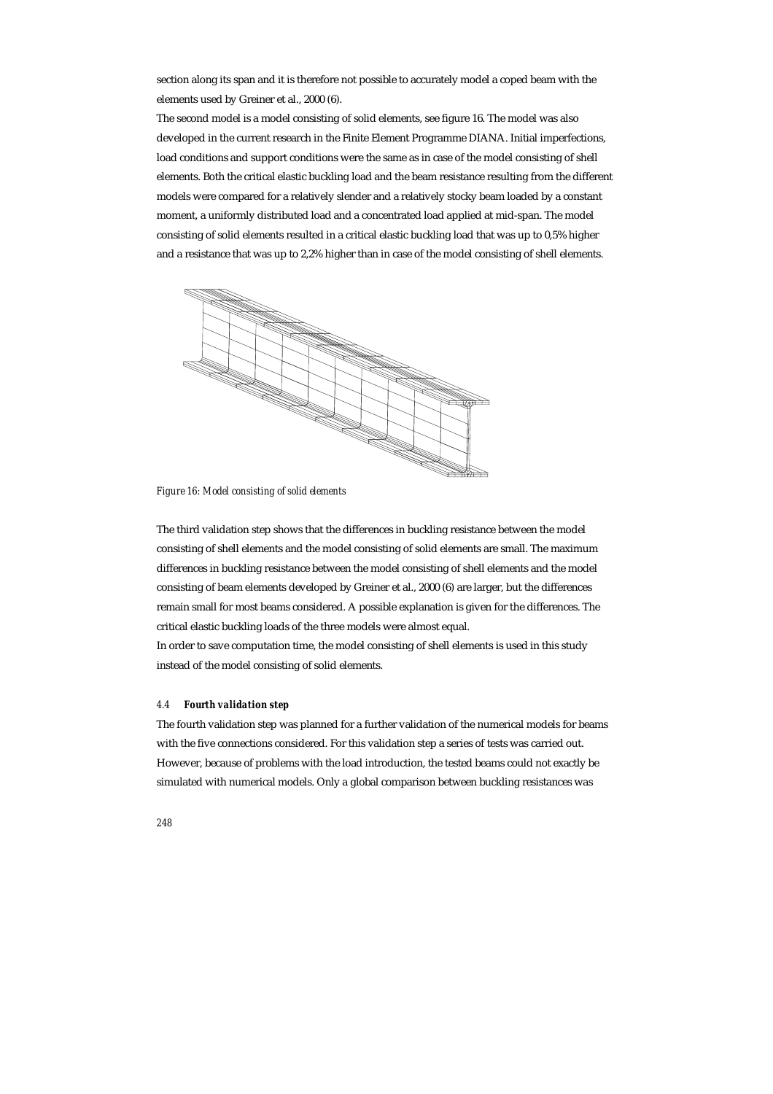section along its span and it is therefore not possible to accurately model a coped beam with the elements used by Greiner et al., 2000 (6).

The second model is a model consisting of solid elements, see figure 16. The model was also developed in the current research in the Finite Element Programme DIANA. Initial imperfections, load conditions and support conditions were the same as in case of the model consisting of shell elements. Both the critical elastic buckling load and the beam resistance resulting from the different models were compared for a relatively slender and a relatively stocky beam loaded by a constant moment, a uniformly distributed load and a concentrated load applied at mid-span. The model consisting of solid elements resulted in a critical elastic buckling load that was up to 0,5% higher and a resistance that was up to 2,2% higher than in case of the model consisting of shell elements.



*Figure 16: Model consisting of solid elements* 

The third validation step shows that the differences in buckling resistance between the model consisting of shell elements and the model consisting of solid elements are small. The maximum differences in buckling resistance between the model consisting of shell elements and the model consisting of beam elements developed by Greiner et al., 2000 (6) are larger, but the differences remain small for most beams considered. A possible explanation is given for the differences. The critical elastic buckling loads of the three models were almost equal.

In order to save computation time, the model consisting of shell elements is used in this study instead of the model consisting of solid elements.

## *4.4 Fourth validation step*

The fourth validation step was planned for a further validation of the numerical models for beams with the five connections considered. For this validation step a series of tests was carried out. However, because of problems with the load introduction, the tested beams could not exactly be simulated with numerical models. Only a global comparison between buckling resistances was

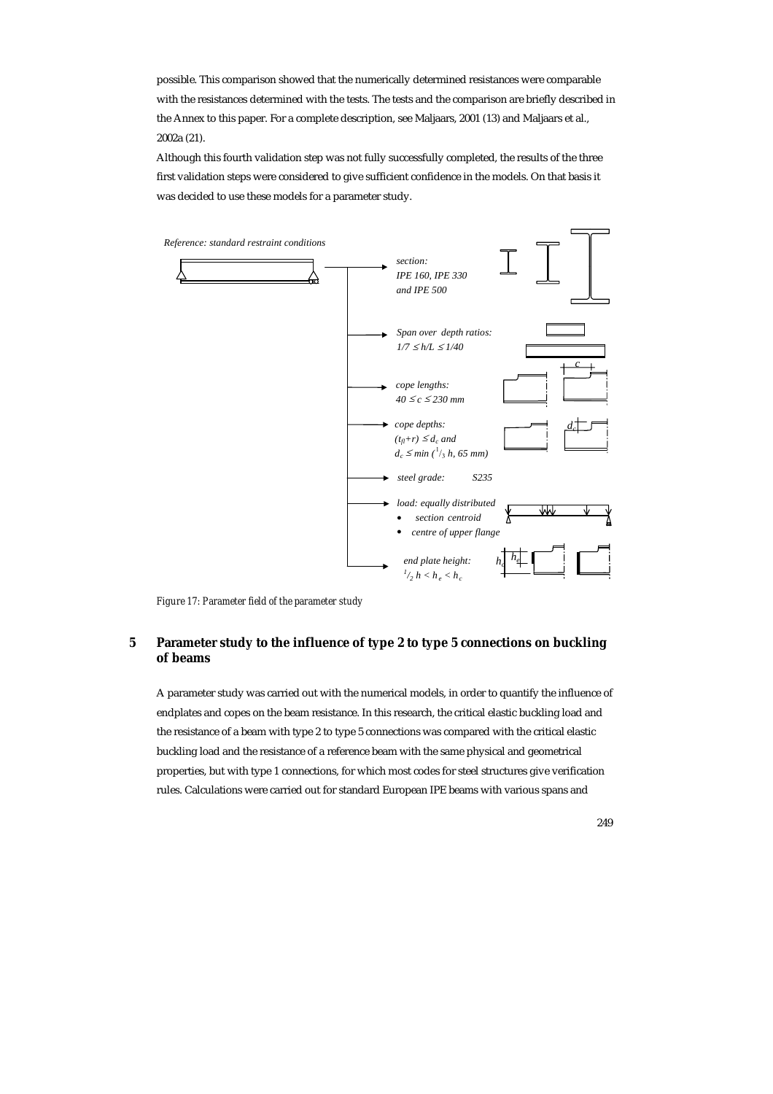possible. This comparison showed that the numerically determined resistances were comparable with the resistances determined with the tests. The tests and the comparison are briefly described in the Annex to this paper. For a complete description, see Maljaars, 2001 (13) and Maljaars et al., 2002a (21).

Although this fourth validation step was not fully successfully completed, the results of the three first validation steps were considered to give sufficient confidence in the models. On that basis it was decided to use these models for a parameter study.



*Figure 17: Parameter field of the parameter study* 

# **5 Parameter study to the influence of type 2 to type 5 connections on buckling of beams**

A parameter study was carried out with the numerical models, in order to quantify the influence of endplates and copes on the beam resistance. In this research, the critical elastic buckling load and the resistance of a beam with type 2 to type 5 connections was compared with the critical elastic buckling load and the resistance of a reference beam with the same physical and geometrical properties, but with type 1 connections, for which most codes for steel structures give verification rules. Calculations were carried out for standard European IPE beams with various spans and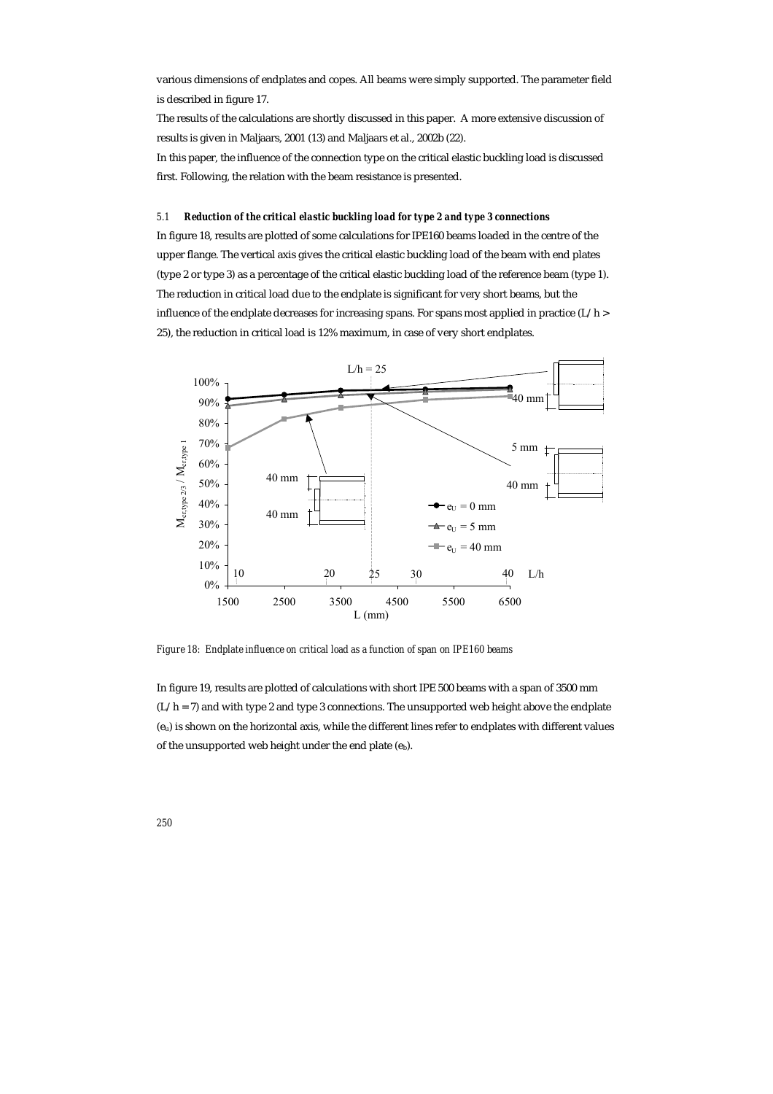various dimensions of endplates and copes. All beams were simply supported. The parameter field is described in figure 17.

The results of the calculations are shortly discussed in this paper. A more extensive discussion of results is given in Maljaars, 2001 (13) and Maljaars et al., 2002b (22).

In this paper, the influence of the connection type on the critical elastic buckling load is discussed first. Following, the relation with the beam resistance is presented.

# *5.1 Reduction of the critical elastic buckling load for type 2 and type 3 connections*

In figure 18, results are plotted of some calculations for IPE160 beams loaded in the centre of the upper flange. The vertical axis gives the critical elastic buckling load of the beam with end plates (type 2 or type 3) as a percentage of the critical elastic buckling load of the reference beam (type 1). The reduction in critical load due to the endplate is significant for very short beams, but the influence of the endplate decreases for increasing spans. For spans most applied in practice  $(L/h >$ 25), the reduction in critical load is 12% maximum, in case of very short endplates.



*Figure 18: Endplate influence on critical load as a function of span on IPE160 beams* 

In figure 19, results are plotted of calculations with short IPE 500 beams with a span of 3500 mm  $(L/h = 7)$  and with type 2 and type 3 connections. The unsupported web height above the endplate (eu) is shown on the horizontal axis, while the different lines refer to endplates with different values of the unsupported web height under the end plate (eb).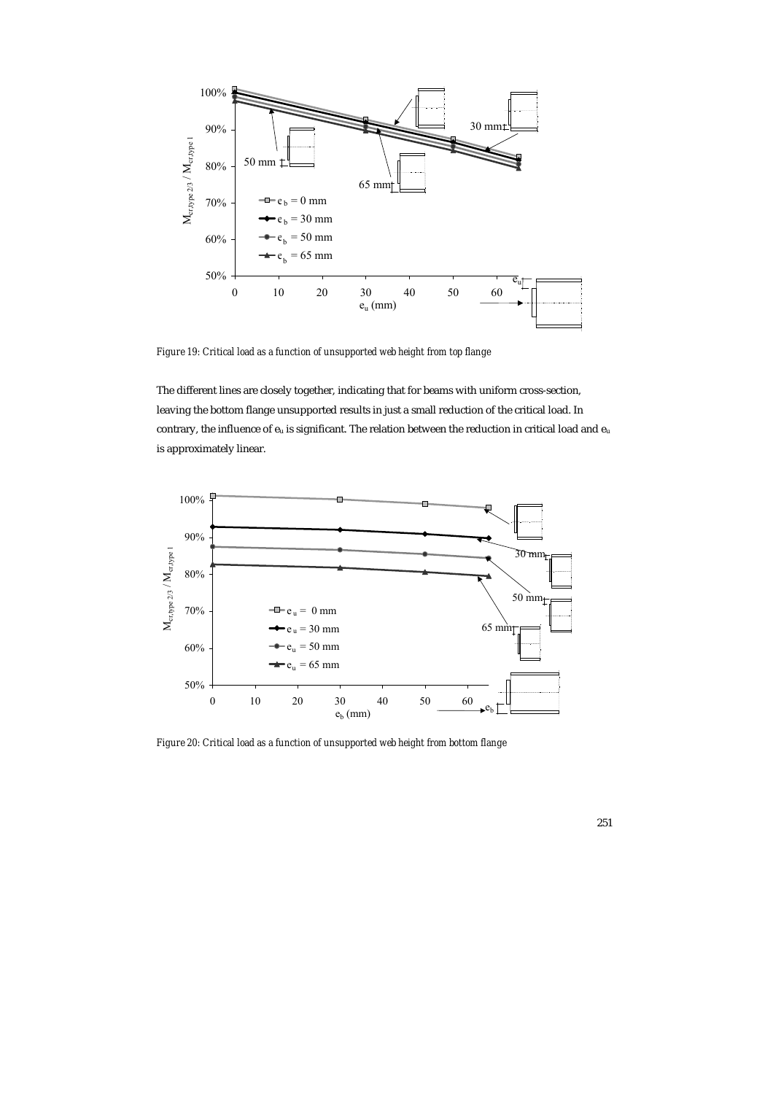

*Figure 19: Critical load as a function of unsupported web height from top flange* 

The different lines are closely together, indicating that for beams with uniform cross-section, leaving the bottom flange unsupported results in just a small reduction of the critical load. In contrary, the influence of  $e_u$  is significant. The relation between the reduction in critical load and  $e_u$ is approximately linear.



*Figure 20: Critical load as a function of unsupported web height from bottom flange*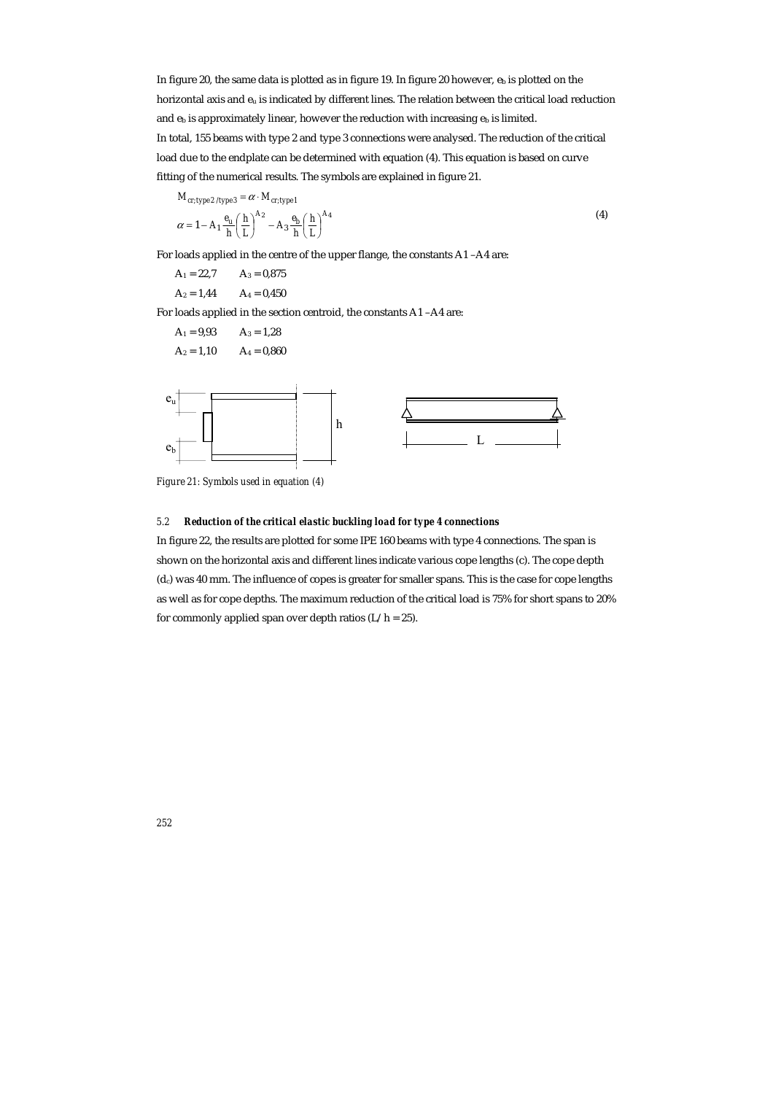In figure 20, the same data is plotted as in figure 19. In figure 20 however,  $e_b$  is plotted on the horizontal axis and eu is indicated by different lines. The relation between the critical load reduction and  $e_b$  is approximately linear, however the reduction with increasing  $e_b$  is limited. In total, 155 beams with type 2 and type 3 connections were analysed. The reduction of the critical load due to the endplate can be determined with equation (4). This equation is based on curve fitting of the numerical results. The symbols are explained in figure 21.

 $M_{cr, type\,2/\text{type}\,3} = \alpha \cdot M_{cr, type\,1}$ 

$$
\alpha = 1 - A_1 \frac{e_u}{h} \left(\frac{h}{L}\right)^{A_2} - A_3 \frac{e_b}{h} \left(\frac{h}{L}\right)^{A_4} \tag{4}
$$

For loads applied in the centre of the upper flange, the constants A1 –A4 are:

 $A_1 = 22.7$   $A_3 = 0.875$ 

 $A_2 = 1,44$   $A_4 = 0,450$ 

For loads applied in the section centroid, the constants A1 –A4 are:

 $A_1 = 9.93$   $A_3 = 1.28$  $A_2 = 1,10$   $A_4 = 0,860$ 



*Figure 21: Symbols used in equation (4)* 

## *5.2 Reduction of the critical elastic buckling load for type 4 connections*

In figure 22, the results are plotted for some IPE 160 beams with type 4 connections. The span is shown on the horizontal axis and different lines indicate various cope lengths (c). The cope depth (dc) was 40 mm. The influence of copes is greater for smaller spans. This is the case for cope lengths as well as for cope depths. The maximum reduction of the critical load is 75% for short spans to 20% for commonly applied span over depth ratios  $(L/h = 25)$ .

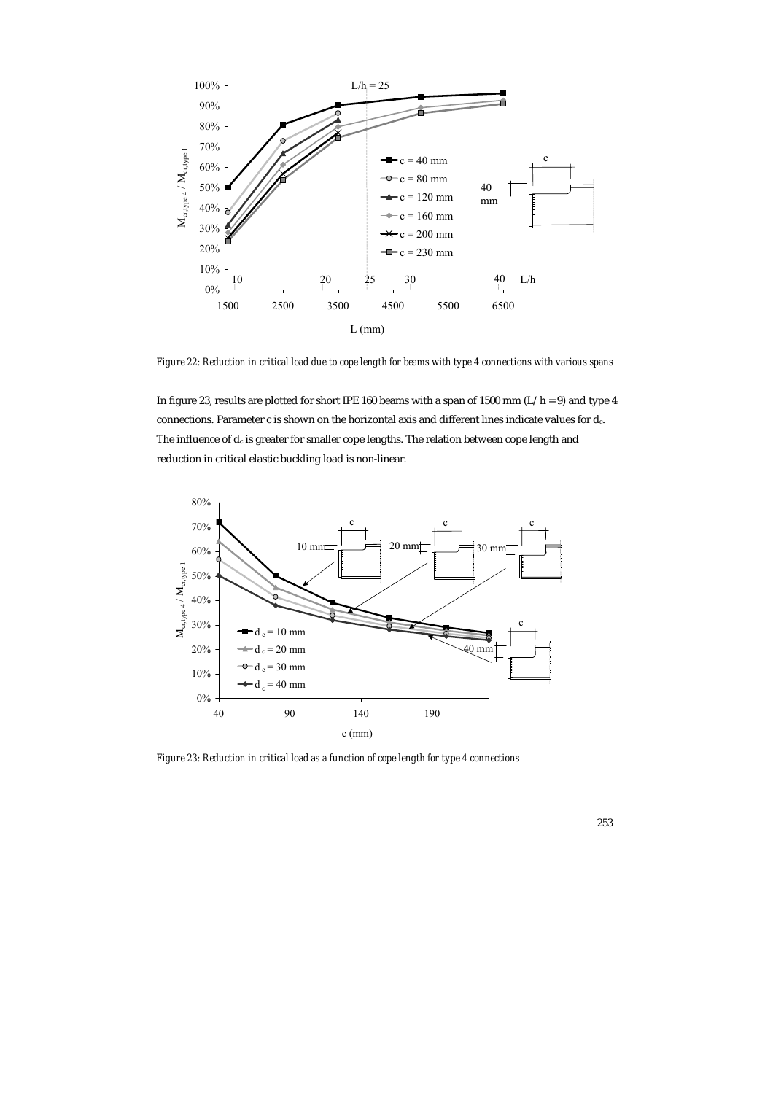

*Figure 22: Reduction in critical load due to cope length for beams with type 4 connections with various spans* 

In figure 23, results are plotted for short IPE 160 beams with a span of 1500 mm ( $L/h = 9$ ) and type 4 connections. Parameter c is shown on the horizontal axis and different lines indicate values for dc. The influence of  $d_c$  is greater for smaller cope lengths. The relation between cope length and reduction in critical elastic buckling load is non-linear.



*Figure 23: Reduction in critical load as a function of cope length for type 4 connections*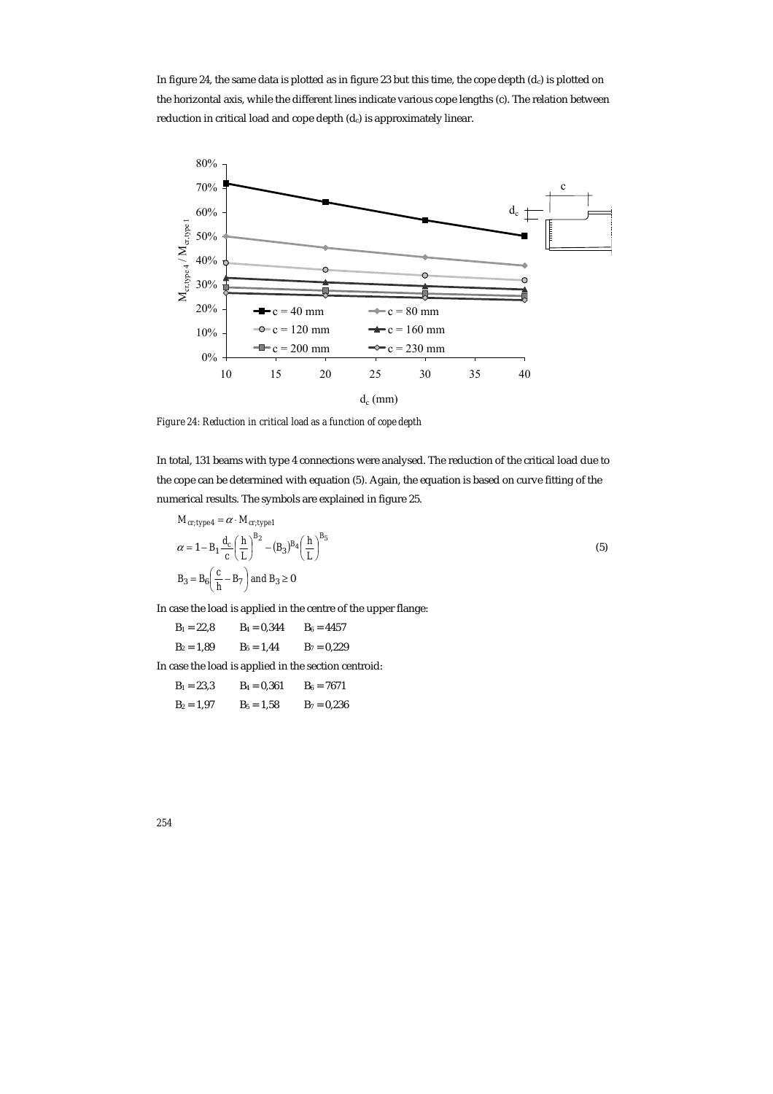In figure 24, the same data is plotted as in figure 23 but this time, the cope depth  $(d_c)$  is plotted on the horizontal axis, while the different lines indicate various cope lengths (c). The relation between reduction in critical load and cope depth (d<sub>c</sub>) is approximately linear.



*Figure 24: Reduction in critical load as a function of cope depth* 

In total, 131 beams with type 4 connections were analysed. The reduction of the critical load due to the cope can be determined with equation (5). Again, the equation is based on curve fitting of the numerical results. The symbols are explained in figure 25.

$$
M_{cr, type 4} = \alpha \cdot M_{cr, type 1}
$$
  
\n
$$
\alpha = 1 - B_1 \frac{d_c}{c} \left(\frac{h}{L}\right)^{B_2} - (B_3)^{B_4} \left(\frac{h}{L}\right)^{B_5}
$$
  
\n
$$
B_3 = B_6 \left(\frac{c}{h} - B_7\right) \text{ and } B_3 \ge 0
$$
\n(5)

In case the load is applied in the centre of the upper flange:

 $B_1 = 22.8$   $B_4 = 0.344$   $B_6 = 4457$  $B_2 = 1,89$   $B_5 = 1,44$   $B_7 = 0,229$ 

In case the load is applied in the section centroid:

 $B_1 = 23,3$   $B_4 = 0,361$   $B_6 = 7671$  $B_2 = 1,97$   $B_5 = 1,58$   $B_7 = 0,236$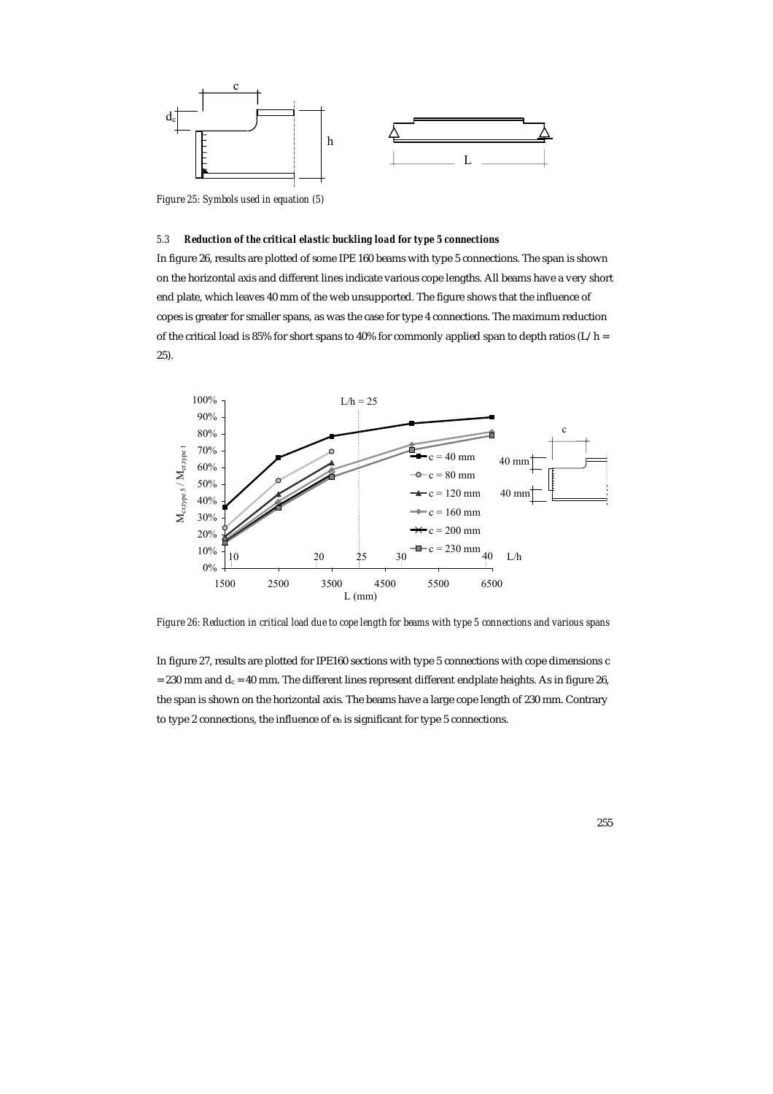

*Figure 25: Symbols used in equation (5)* 

## *5.3 Reduction of the critical elastic buckling load for type 5 connections*

In figure 26, results are plotted of some IPE 160 beams with type 5 connections. The span is shown on the horizontal axis and different lines indicate various cope lengths. All beams have a very short end plate, which leaves 40 mm of the web unsupported. The figure shows that the influence of copes is greater for smaller spans, as was the case for type 4 connections. The maximum reduction of the critical load is 85% for short spans to 40% for commonly applied span to depth ratios (L/h = 25).



*Figure 26: Reduction in critical load due to cope length for beams with type 5 connections and various spans* 

In figure 27, results are plotted for IPE160 sections with type 5 connections with cope dimensions c  $= 230$  mm and  $d_c = 40$  mm. The different lines represent different endplate heights. As in figure 26, the span is shown on the horizontal axis. The beams have a large cope length of 230 mm. Contrary to type 2 connections, the influence of  $e_b$  is significant for type 5 connections.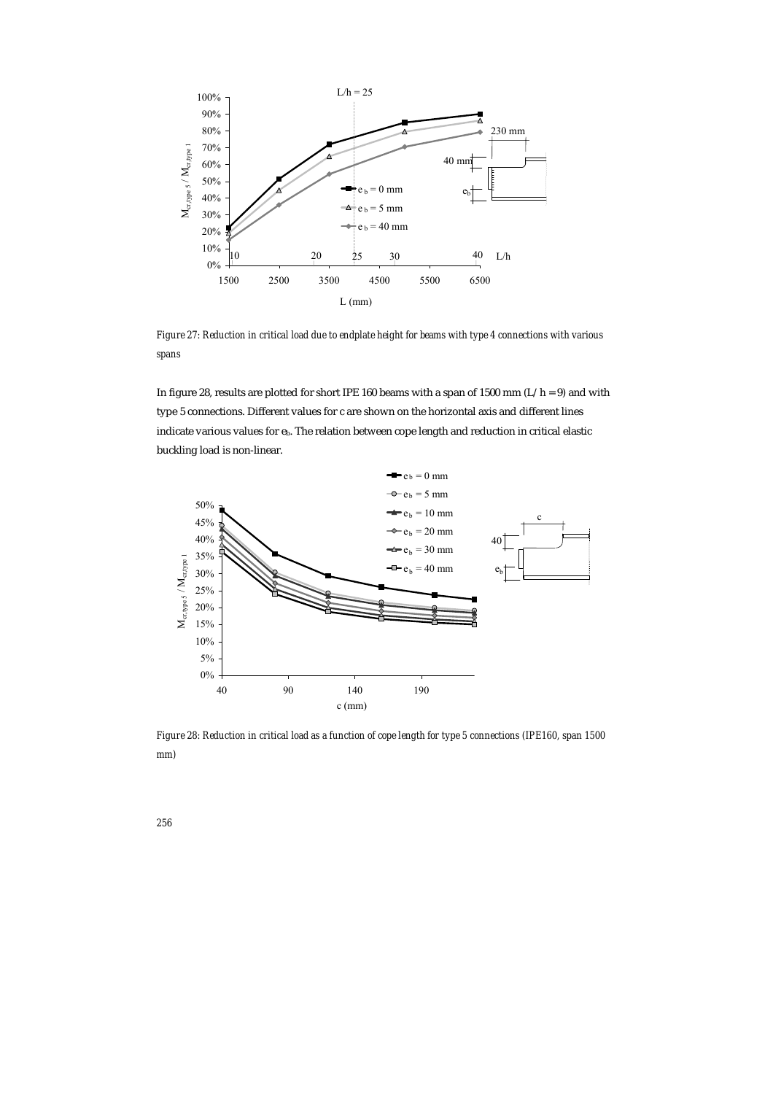

*Figure 27: Reduction in critical load due to endplate height for beams with type 4 connections with various spans* 

In figure 28, results are plotted for short IPE 160 beams with a span of 1500 mm ( $L/h = 9$ ) and with type 5 connections. Different values for c are shown on the horizontal axis and different lines indicate various values for eb. The relation between cope length and reduction in critical elastic buckling load is non-linear.



*Figure 28: Reduction in critical load as a function of cope length for type 5 connections (IPE160, span 1500 mm)*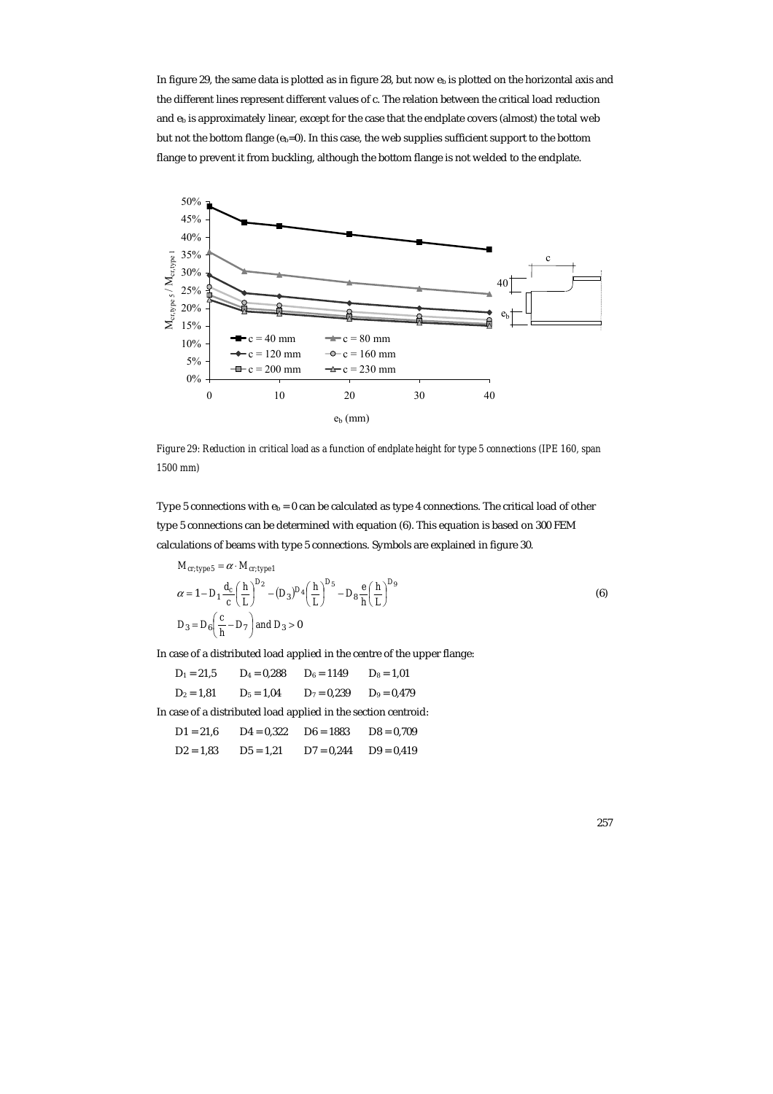In figure 29, the same data is plotted as in figure 28, but now  $e<sub>b</sub>$  is plotted on the horizontal axis and the different lines represent different values of c. The relation between the critical load reduction and  $e_b$  is approximately linear, except for the case that the endplate covers (almost) the total web but not the bottom flange  $(e_b=0)$ . In this case, the web supplies sufficient support to the bottom flange to prevent it from buckling, although the bottom flange is not welded to the endplate.



*Figure 29: Reduction in critical load as a function of endplate height for type 5 connections (IPE 160, span 1500 mm)* 

Type 5 connections with  $e_b = 0$  can be calculated as type 4 connections. The critical load of other type 5 connections can be determined with equation (6). This equation is based on 300 FEM calculations of beams with type 5 connections. Symbols are explained in figure 30.

$$
M_{cr, type 5} = \alpha \cdot M_{cr, type 1}
$$
  
\n
$$
\alpha = 1 - D_1 \frac{d_c}{c} \left(\frac{h}{L}\right)^{D_2} - (D_3)^{D_4} \left(\frac{h}{L}\right)^{D_5} - D_8 \frac{e}{h} \left(\frac{h}{L}\right)^{D_9}
$$
  
\n
$$
D_3 = D_6 \left(\frac{c}{h} - D_7\right) \text{ and } D_3 > 0
$$
\n(6)

In case of a distributed load applied in the centre of the upper flange:

 $D_1 = 21.5$   $D_4 = 0.288$   $D_6 = 1149$   $D_8 = 1.01$  $D_2 = 1,81$   $D_5 = 1,04$   $D_7 = 0,239$   $D_9 = 0,479$ 

In case of a distributed load applied in the section centroid:

| $D1 = 21.6$ | $D4 = 0.322$ | $D6 = 1883$  | $D8 = 0.709$ |
|-------------|--------------|--------------|--------------|
| $D2 = 1.83$ | $D5 = 1.21$  | $D7 = 0.244$ | $D9 = 0.419$ |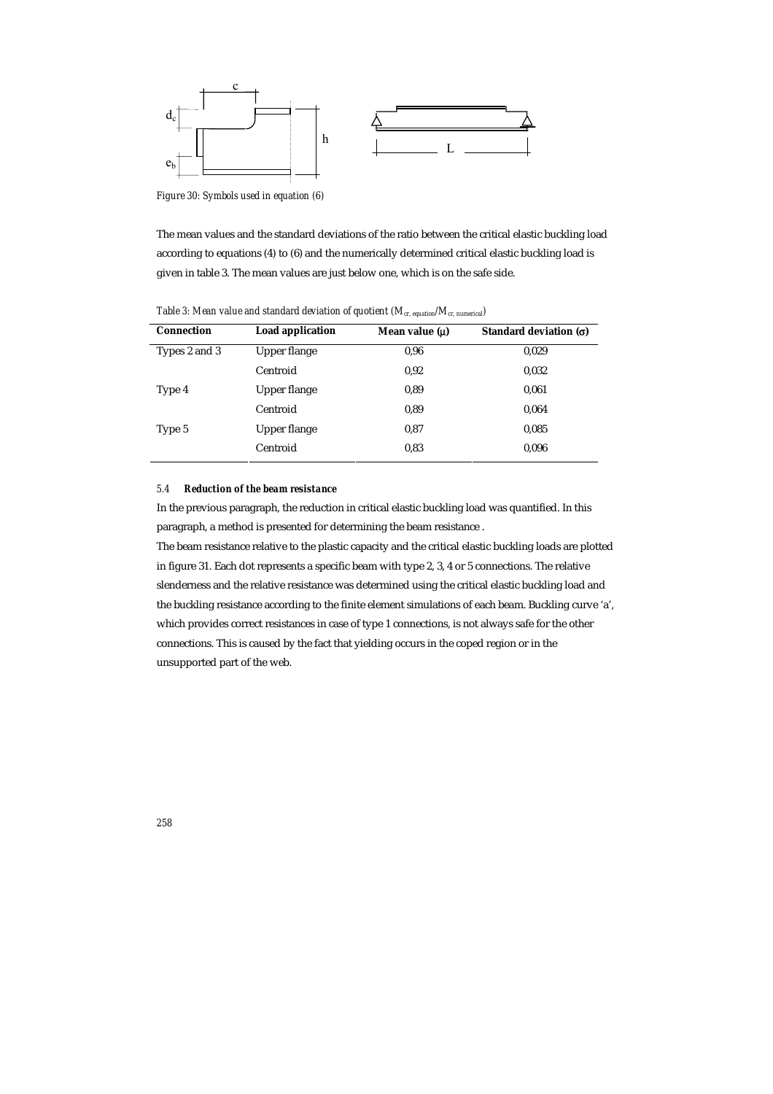

*Figure 30: Symbols used in equation (6)* 

The mean values and the standard deviations of the ratio between the critical elastic buckling load according to equations (4) to (6) and the numerically determined critical elastic buckling load is given in table 3. The mean values are just below one, which is on the safe side.

| <b>Connection</b> | <b>Load application</b> | Mean value $(\mu)$ | Standard deviation $(\sigma)$ |
|-------------------|-------------------------|--------------------|-------------------------------|
| Types 2 and 3     | <b>Upper flange</b>     | 0,96               | 0,029                         |
|                   | Centroid                | 0,92               | 0,032                         |
| Type 4            | Upper flange            | 0,89               | 0,061                         |
|                   | Centroid                | 0,89               | 0,064                         |
| Type 5            | Upper flange            | 0,87               | 0,085                         |
|                   | Centroid                | 0,83               | 0,096                         |

*Table 3: Mean value and standard deviation of quotient (Mcr, equation/Mcr, numerical)* 

#### *5.4 Reduction of the beam resistance*

In the previous paragraph, the reduction in critical elastic buckling load was quantified. In this paragraph, a method is presented for determining the beam resistance .

The beam resistance relative to the plastic capacity and the critical elastic buckling loads are plotted in figure 31. Each dot represents a specific beam with type 2, 3, 4 or 5 connections. The relative slenderness and the relative resistance was determined using the critical elastic buckling load and the buckling resistance according to the finite element simulations of each beam. Buckling curve 'a', which provides correct resistances in case of type 1 connections, is not always safe for the other connections. This is caused by the fact that yielding occurs in the coped region or in the unsupported part of the web.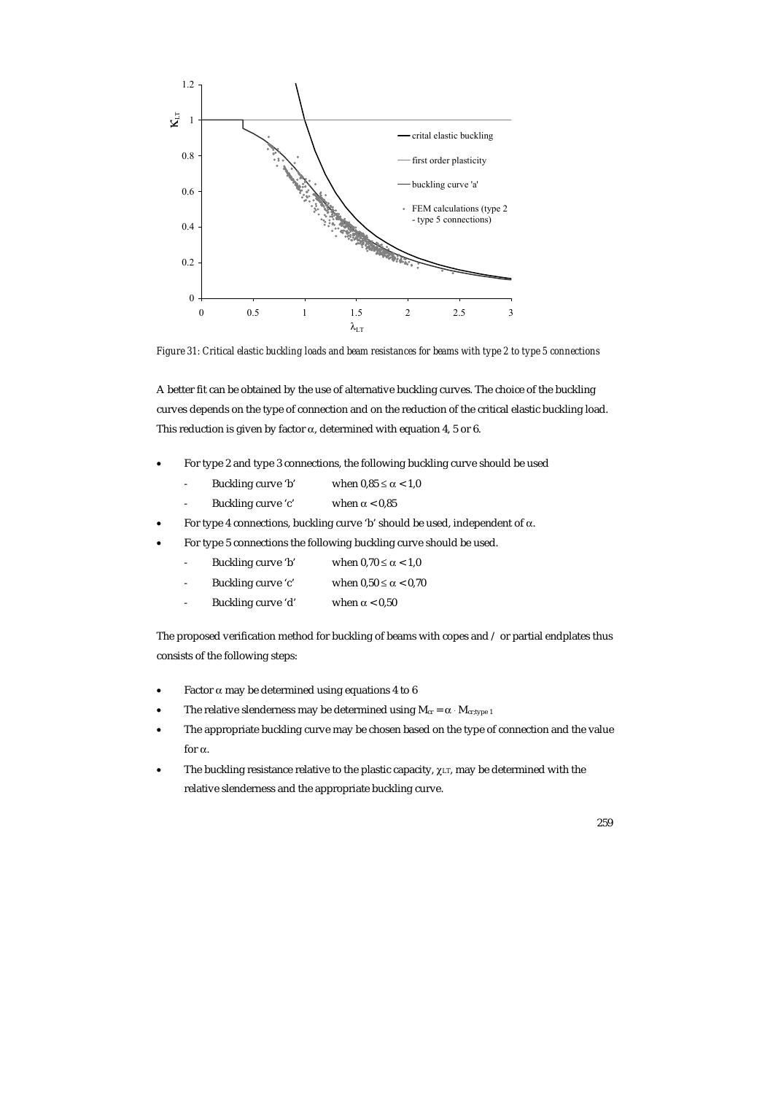

*Figure 31: Critical elastic buckling loads and beam resistances for beams with type 2 to type 5 connections* 

A better fit can be obtained by the use of alternative buckling curves. The choice of the buckling curves depends on the type of connection and on the reduction of the critical elastic buckling load. This reduction is given by factor  $\alpha$ , determined with equation 4, 5 or 6.

- For type 2 and type 3 connections, the following buckling curve should be used
	- Buckling curve 'b' when  $0.85 \le \alpha < 1.0$
	- Buckling curve 'c' when  $\alpha$  < 0,85
- For type 4 connections, buckling curve 'b' should be used, independent of α.
- For type 5 connections the following buckling curve should be used.
	- Buckling curve 'b' when  $0.70 \le \alpha < 1.0$
	- Buckling curve 'c' when  $0.50 \le \alpha < 0.70$
	- Buckling curve 'd' when  $\alpha$  < 0,50

The proposed verification method for buckling of beams with copes and / or partial endplates thus consists of the following steps:

- Factor  $\alpha$  may be determined using equations 4 to 6
- The relative slenderness may be determined using  $M_{cr} = \alpha \cdot M_{cr, type\ 1}$
- The appropriate buckling curve may be chosen based on the type of connection and the value for α.
- The buckling resistance relative to the plastic capacity,  $\chi_{LT}$ , may be determined with the relative slenderness and the appropriate buckling curve.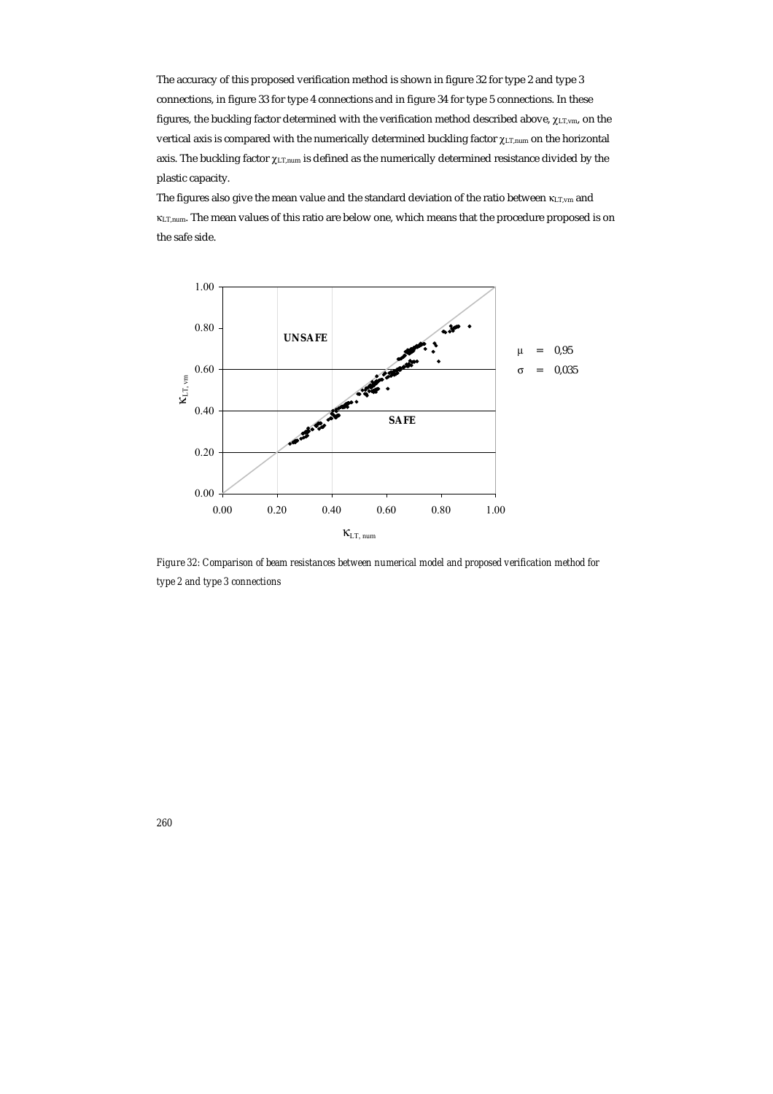The accuracy of this proposed verification method is shown in figure 32 for type 2 and type 3 connections, in figure 33 for type 4 connections and in figure 34 for type 5 connections. In these figures, the buckling factor determined with the verification method described above,  $χ_{LT,vm}$ , on the vertical axis is compared with the numerically determined buckling factor  $\gamma_{\text{LT,num}}$  on the horizontal axis. The buckling factor  $χ_{LT,num}$  is defined as the numerically determined resistance divided by the plastic capacity.

The figures also give the mean value and the standard deviation of the ratio between κ<sub>LT,vm</sub> and κLT,num. The mean values of this ratio are below one, which means that the procedure proposed is on the safe side.



*Figure 32: Comparison of beam resistances between numerical model and proposed verification method for type 2 and type 3 connections*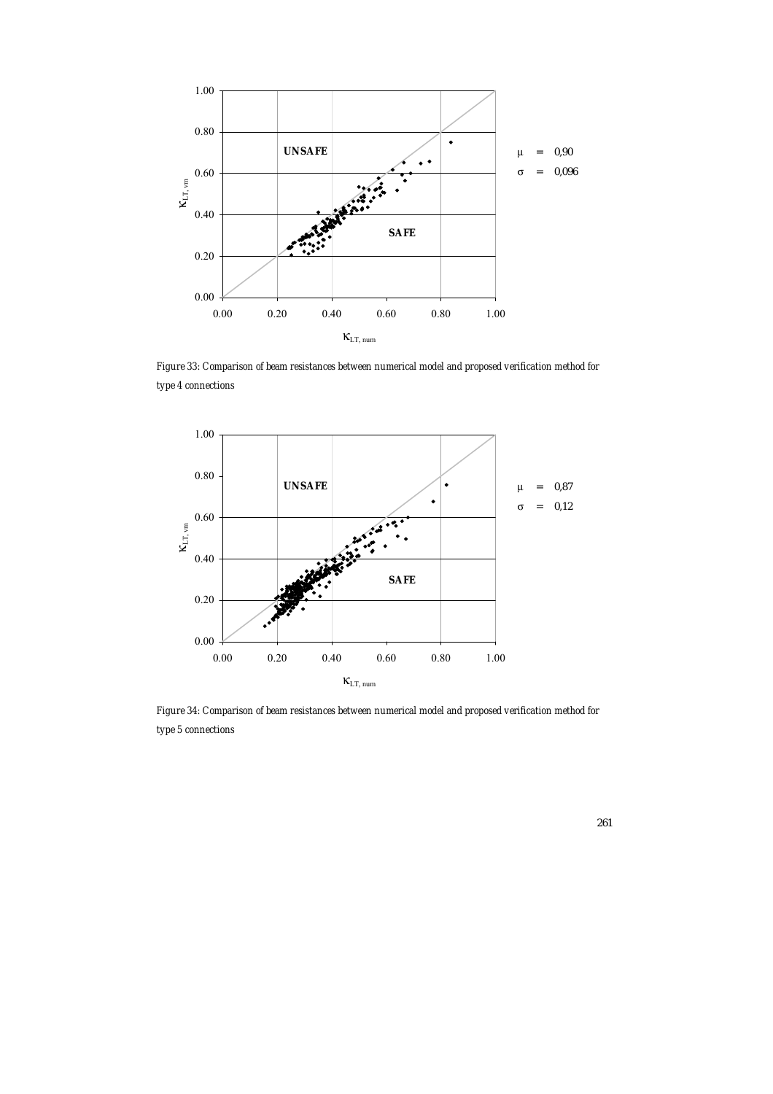

*Figure 33: Comparison of beam resistances between numerical model and proposed verification method for type 4 connections* 



*Figure 34: Comparison of beam resistances between numerical model and proposed verification method for type 5 connections*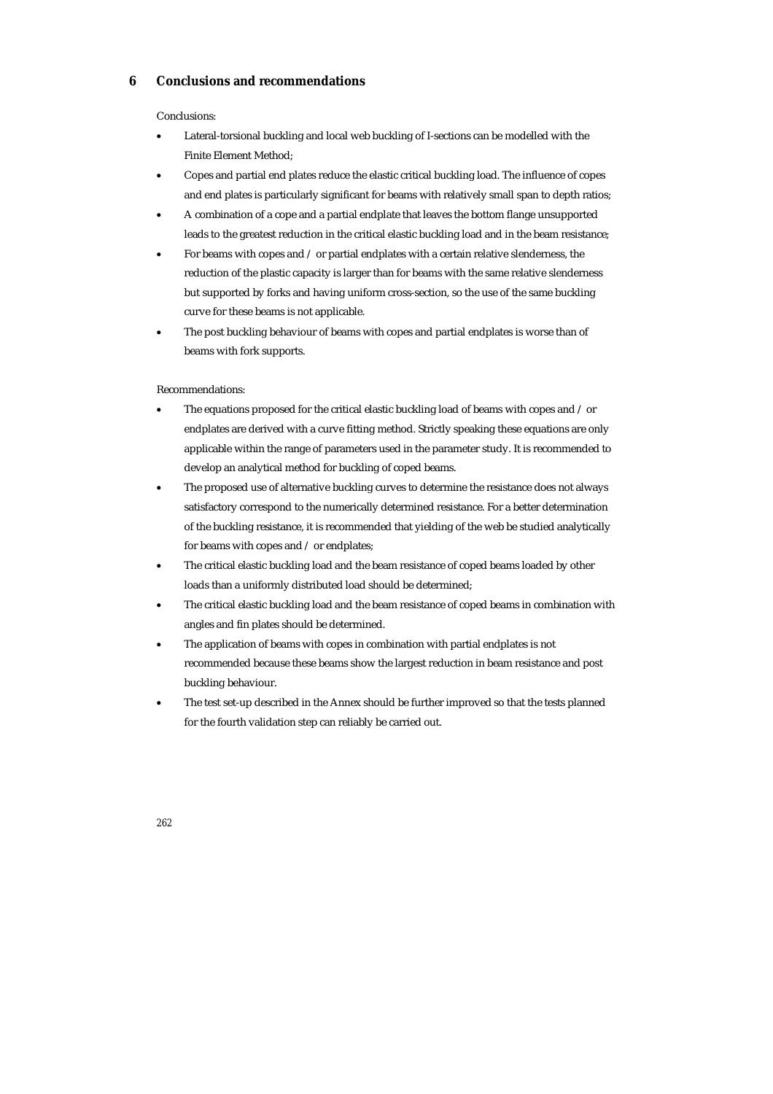## **6 Conclusions and recommendations**

### Conclusions:

- Lateral-torsional buckling and local web buckling of I-sections can be modelled with the Finite Element Method;
- Copes and partial end plates reduce the elastic critical buckling load. The influence of copes and end plates is particularly significant for beams with relatively small span to depth ratios;
- A combination of a cope and a partial endplate that leaves the bottom flange unsupported leads to the greatest reduction in the critical elastic buckling load and in the beam resistance;
- For beams with copes and / or partial endplates with a certain relative slenderness, the reduction of the plastic capacity is larger than for beams with the same relative slenderness but supported by forks and having uniform cross-section, so the use of the same buckling curve for these beams is not applicable.
- The post buckling behaviour of beams with copes and partial endplates is worse than of beams with fork supports.

## Recommendations:

- The equations proposed for the critical elastic buckling load of beams with copes and  $\ell$  or endplates are derived with a curve fitting method. Strictly speaking these equations are only applicable within the range of parameters used in the parameter study. It is recommended to develop an analytical method for buckling of coped beams.
- The proposed use of alternative buckling curves to determine the resistance does not always satisfactory correspond to the numerically determined resistance. For a better determination of the buckling resistance, it is recommended that yielding of the web be studied analytically for beams with copes and / or endplates;
- The critical elastic buckling load and the beam resistance of coped beams loaded by other loads than a uniformly distributed load should be determined;
- The critical elastic buckling load and the beam resistance of coped beams in combination with angles and fin plates should be determined.
- The application of beams with copes in combination with partial endplates is not recommended because these beams show the largest reduction in beam resistance and post buckling behaviour.
- The test set-up described in the Annex should be further improved so that the tests planned for the fourth validation step can reliably be carried out.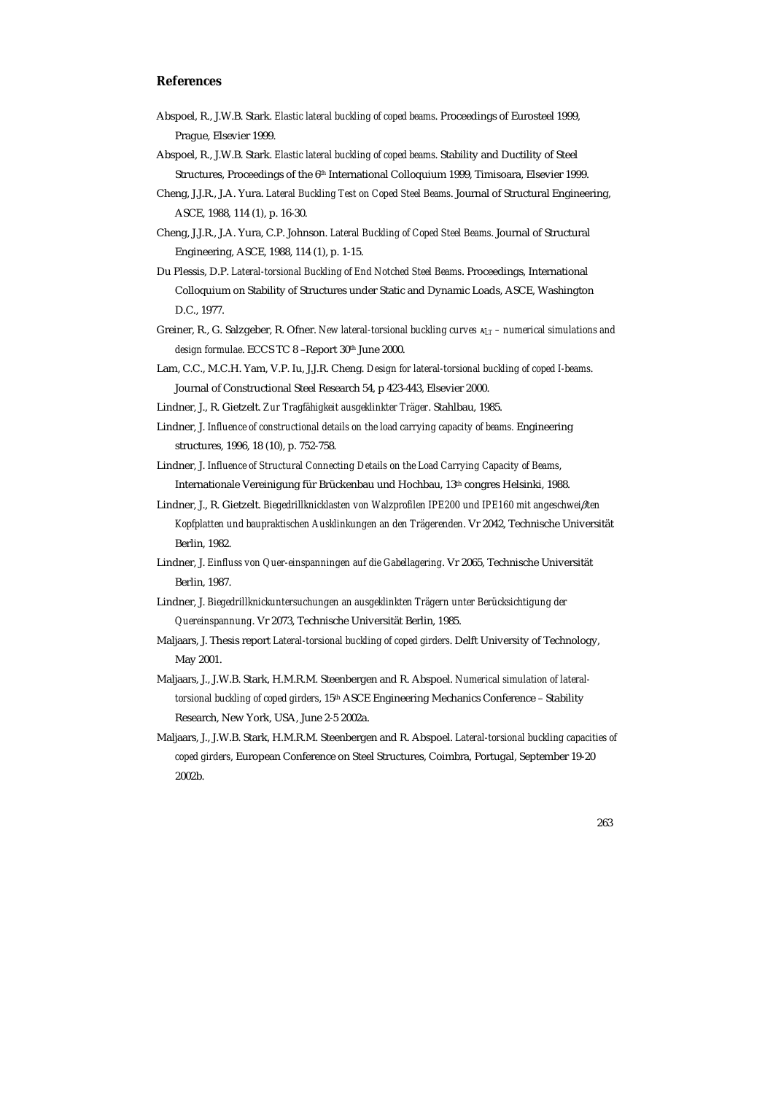## **References**

- Abspoel, R., J.W.B. Stark. *Elastic lateral buckling of coped beams*. Proceedings of Eurosteel 1999, Prague, Elsevier 1999.
- Abspoel, R., J.W.B. Stark. *Elastic lateral buckling of coped beams*. Stability and Ductility of Steel Structures, Proceedings of the 6th International Colloquium 1999, Timisoara, Elsevier 1999.
- Cheng, J.J.R., J.A. Yura. *Lateral Buckling Test on Coped Steel Beams*. Journal of Structural Engineering, ASCE, 1988, 114 (1), p. 16-30.
- Cheng, J.J.R., J.A. Yura, C.P. Johnson. *Lateral Buckling of Coped Steel Beams*. Journal of Structural Engineering, ASCE, 1988, 114 (1), p. 1-15.
- Du Plessis, D.P. *Lateral-torsional Buckling of End Notched Steel Beams*. Proceedings, International Colloquium on Stability of Structures under Static and Dynamic Loads, ASCE, Washington D.C., 1977.
- Greiner, R., G. Salzgeber, R. Ofner. *New lateral-torsional buckling curves* κ*LT numerical simulations and design formulae*. ECCS TC 8 –Report 30th June 2000.
- Lam, C.C., M.C.H. Yam, V.P. Iu, J.J.R. Cheng. *Design for lateral-torsional buckling of coped I-beams*. Journal of Constructional Steel Research 54, p 423-443, Elsevier 2000.
- Lindner, J., R. Gietzelt. *Zur Tragfähigkeit ausgeklinkter Träger*. Stahlbau, 1985.
- Lindner, J. *Influence of constructional details on the load carrying capacity of beams.* Engineering structures, 1996, 18 (10), p. 752-758.
- Lindner, J. *Influence of Structural Connecting Details on the Load Carrying Capacity of Beams*, Internationale Vereinigung für Brückenbau und Hochbau, 13th congres Helsinki, 1988.
- Lindner, J., R. Gietzelt. *Biegedrillknicklasten von Walzprofilen IPE200 und IPE160 mit angeschwei*β*ten Kopfplatten und baupraktischen Ausklinkungen an den Trägerenden*. Vr 2042, Technische Universität Berlin, 1982.
- Lindner, J. *Einfluss von Quer-einspanningen auf die Gabellagering*. Vr 2065, Technische Universität Berlin, 1987.
- Lindner, J. *Biegedrillknickuntersuchungen an ausgeklinkten Trägern unter Berücksichtigung der Quereinspannung*. Vr 2073, Technische Universität Berlin, 1985.
- Maljaars, J. Thesis report *Lateral-torsional buckling of coped girders*. Delft University of Technology, May 2001.
- Maljaars, J., J.W.B. Stark, H.M.R.M. Steenbergen and R. Abspoel. *Numerical simulation of lateraltorsional buckling of coped girders*, 15th ASCE Engineering Mechanics Conference – Stability Research, New York, USA, June 2-5 2002a.
- Maljaars, J., J.W.B. Stark, H.M.R.M. Steenbergen and R. Abspoel. *Lateral-torsional buckling capacities of coped girders*, European Conference on Steel Structures, Coimbra, Portugal, September 19-20 2002b.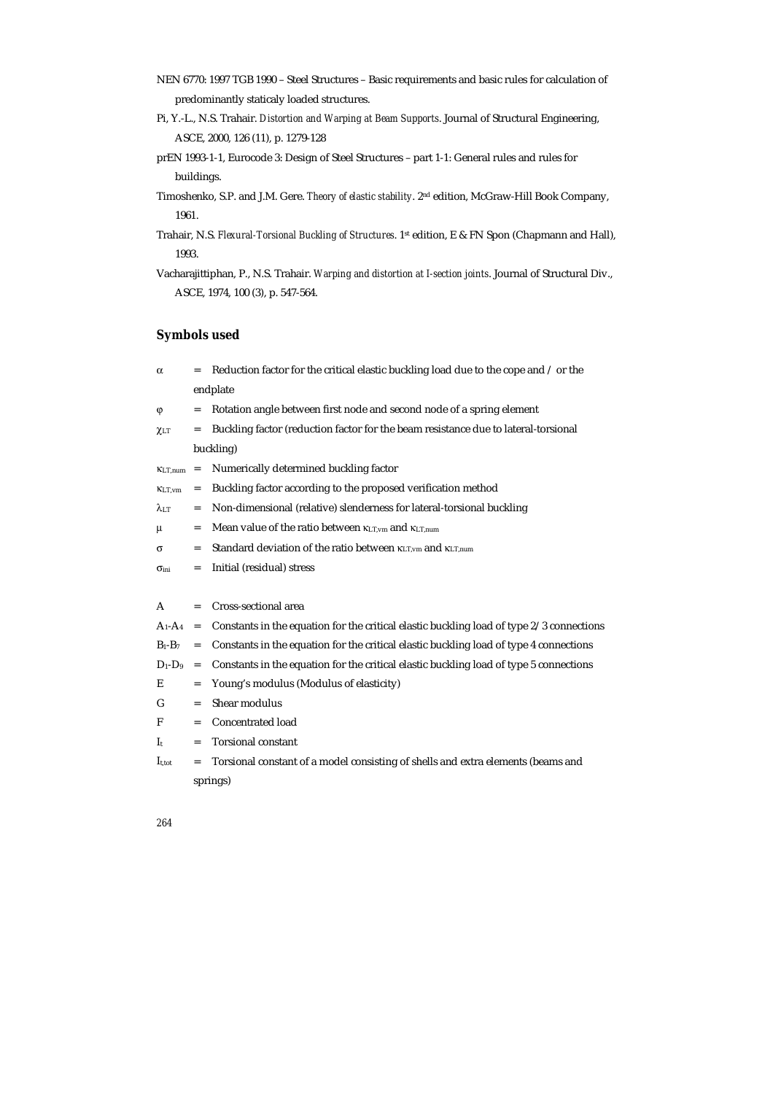- NEN 6770: 1997 TGB 1990 Steel Structures Basic requirements and basic rules for calculation of predominantly staticaly loaded structures.
- Pi, Y.-L., N.S. Trahair. *Distortion and Warping at Beam Supports*. Journal of Structural Engineering, ASCE, 2000, 126 (11), p. 1279-128
- prEN 1993-1-1, Eurocode 3: Design of Steel Structures part 1-1: General rules and rules for buildings.
- Timoshenko, S.P. and J.M. Gere. *Theory of elastic stability*. 2nd edition, McGraw-Hill Book Company, 1961.
- Trahair, N.S. *Flexural-Torsional Buckling of Structures*. 1st edition, E & FN Spon (Chapmann and Hall), 1993.
- Vacharajittiphan, P., N.S. Trahair. *Warping and distortion at I-section joints*. Journal of Structural Div., ASCE, 1974, 100 (3), p. 547-564.

# **Symbols used**

| $\alpha$          |           | Reduction factor for the critical elastic buckling load due to the cope and / or the     |  |  |
|-------------------|-----------|------------------------------------------------------------------------------------------|--|--|
|                   | endplate  |                                                                                          |  |  |
| φ                 | $=$       | Rotation angle between first node and second node of a spring element                    |  |  |
| $\chi$ LT         | $=$       | Buckling factor (reduction factor for the beam resistance due to lateral-torsional       |  |  |
|                   | buckling) |                                                                                          |  |  |
| $K_{LT,num}$      | $=$       | Numerically determined buckling factor                                                   |  |  |
| KLT.vm            | =         | Buckling factor according to the proposed verification method                            |  |  |
| $\lambda$ lt      | $=$       | Non-dimensional (relative) slenderness for lateral-torsional buckling                    |  |  |
| μ                 | $=$       | Mean value of the ratio between KLT, vm and KLT, num                                     |  |  |
| σ                 | $=$       | Standard deviation of the ratio between $\kappa_{LT,vm}$ and $\kappa_{LT,num}$           |  |  |
| $\sigma$ ini      | $=$       | Initial (residual) stress                                                                |  |  |
|                   |           |                                                                                          |  |  |
| A                 | $=$       | Cross-sectional area                                                                     |  |  |
| $A_1 - A_4$       | $=$       | Constants in the equation for the critical elastic buckling load of type 2/3 connections |  |  |
| $B_1 - B_7$       | $=$       | Constants in the equation for the critical elastic buckling load of type 4 connections   |  |  |
| $D_1 - D_9$       | $=$       | Constants in the equation for the critical elastic buckling load of type 5 connections   |  |  |
| Е                 | $=$       | Young's modulus (Modulus of elasticity)                                                  |  |  |
| G                 | $=$       | Shear modulus                                                                            |  |  |
| F                 | $=$       | Concentrated load                                                                        |  |  |
| $I_{t}$           | $=$       | <b>Torsional constant</b>                                                                |  |  |
| $I_{\text{t}$ tot | =         | Torsional constant of a model consisting of shells and extra elements (beams and         |  |  |
|                   |           | springs)                                                                                 |  |  |
|                   |           |                                                                                          |  |  |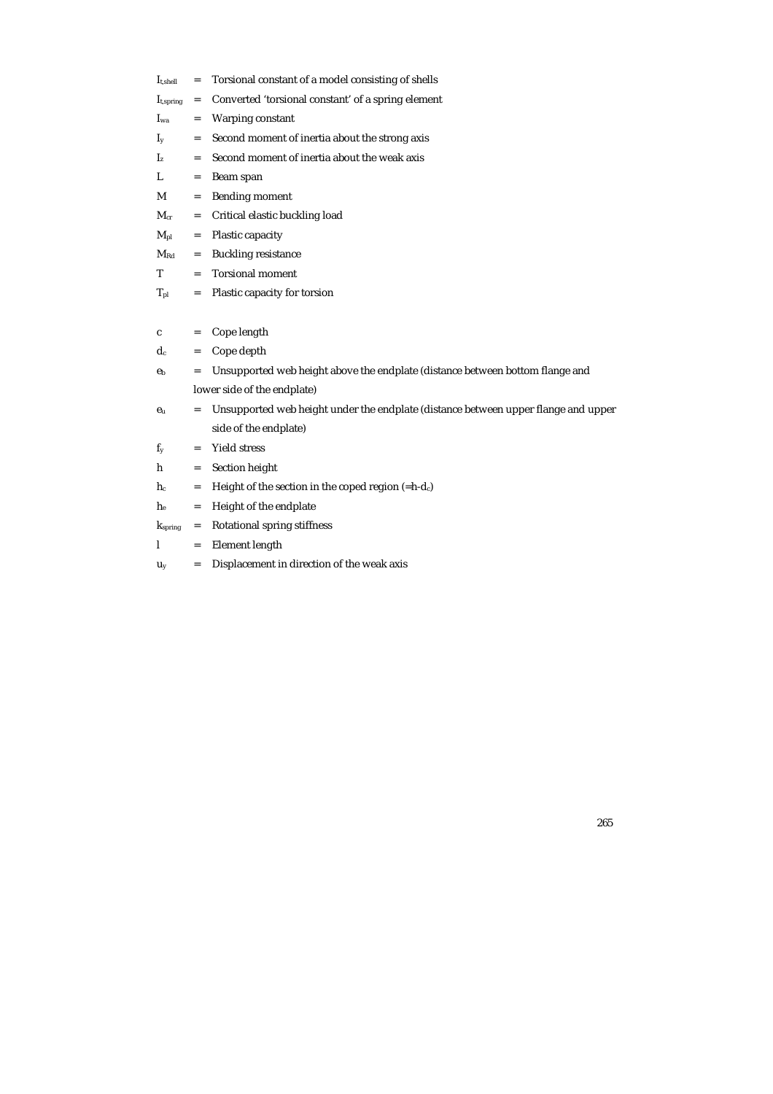| $I_{t,shell}$  | $=$ | Torsional constant of a model consisting of shells                                 |
|----------------|-----|------------------------------------------------------------------------------------|
| $I_{t,spring}$ | $=$ | Converted 'torsional constant' of a spring element                                 |
| $I_{wa}$       | $=$ | Warping constant                                                                   |
| $I_{v}$        | $=$ | Second moment of inertia about the strong axis                                     |
| I <sub>z</sub> | =   | Second moment of inertia about the weak axis                                       |
| L              | $=$ | Beam span                                                                          |
| М              | $=$ | <b>Bending moment</b>                                                              |
| $M_{cr}$       | =   | Critical elastic buckling load                                                     |
| $M_{pl}$       | =   | Plastic capacity                                                                   |
| $\rm M_{Rd}$   | $=$ | <b>Buckling resistance</b>                                                         |
| т              | $=$ | <b>Torsional moment</b>                                                            |
| $T_{\rm pl}$   | $=$ | Plastic capacity for torsion                                                       |
|                |     |                                                                                    |
| c              | $=$ | Cope length                                                                        |
| $d_c$          | $=$ | Cope depth                                                                         |
| e <sub>b</sub> | $=$ | Unsupported web height above the endplate (distance between bottom flange and      |
|                |     | lower side of the endplate)                                                        |
| $e_u$          | =   | Unsupported web height under the endplate (distance between upper flange and upper |
|                |     | side of the endplate)                                                              |
| $f_v$          | $=$ | <b>Yield stress</b>                                                                |
| h              | $=$ | Section height                                                                     |
| $h_c$          | =   | Height of the section in the coped region $(=h-d_c)$                               |
| $h_{e}$        | $=$ | Height of the endplate                                                             |
| $k_{spring}$   | $=$ | Rotational spring stiffness                                                        |
| 1              | $=$ | Element length                                                                     |
| Uy             | $=$ | Displacement in direction of the weak axis                                         |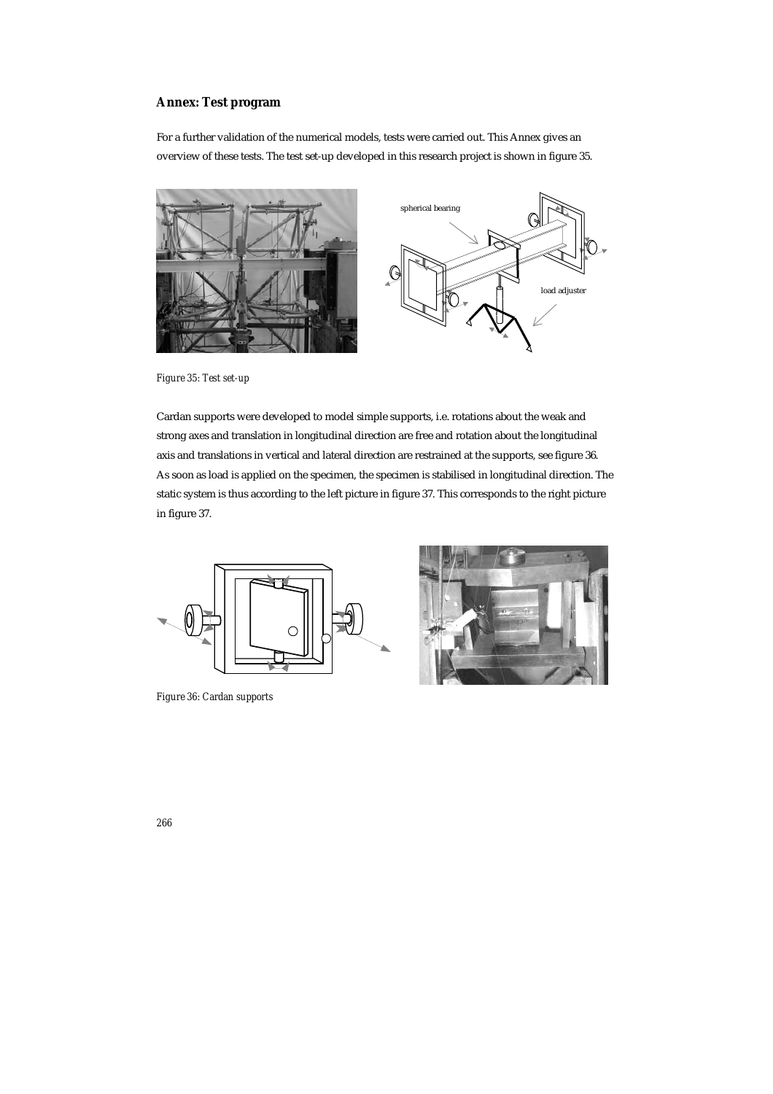# **Annex: Test program**

For a further validation of the numerical models, tests were carried out. This Annex gives an overview of these tests. The test set-up developed in this research project is shown in figure 35.



*Figure 35: Test set-up* 

Cardan supports were developed to model simple supports, i.e. rotations about the weak and strong axes and translation in longitudinal direction are free and rotation about the longitudinal axis and translations in vertical and lateral direction are restrained at the supports, see figure 36. As soon as load is applied on the specimen, the specimen is stabilised in longitudinal direction. The static system is thus according to the left picture in figure 37. This corresponds to the right picture in figure 37.



*Figure 36: Cardan supports* 

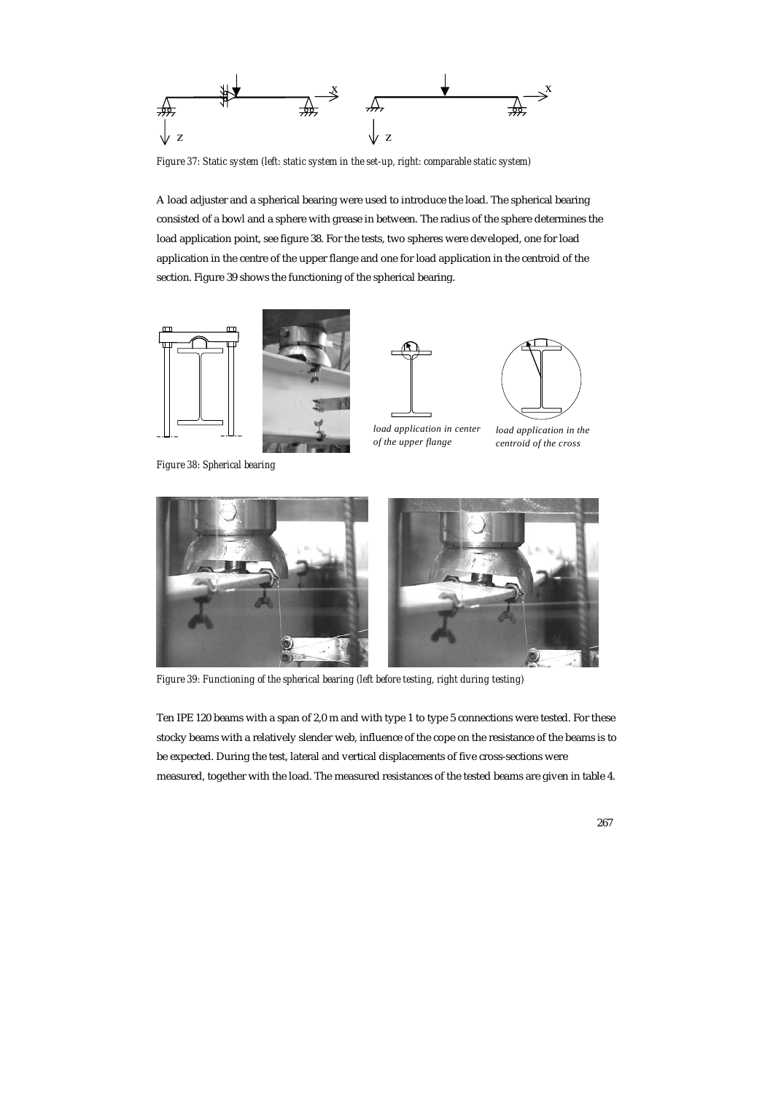

*Figure 37: Static system (left: static system in the set-up, right: comparable static system)* 

A load adjuster and a spherical bearing were used to introduce the load. The spherical bearing consisted of a bowl and a sphere with grease in between. The radius of the sphere determines the load application point, see figure 38. For the tests, two spheres were developed, one for load application in the centre of the upper flange and one for load application in the centroid of the section. Figure 39 shows the functioning of the spherical bearing.



*Figure 38: Spherical bearing* 



*load application in center of the upper flange*







*Figure 39: Functioning of the spherical bearing (left before testing, right during testing)* 

Ten IPE 120 beams with a span of 2,0 m and with type 1 to type 5 connections were tested. For these stocky beams with a relatively slender web, influence of the cope on the resistance of the beams is to be expected. During the test, lateral and vertical displacements of five cross-sections were measured, together with the load. The measured resistances of the tested beams are given in table 4.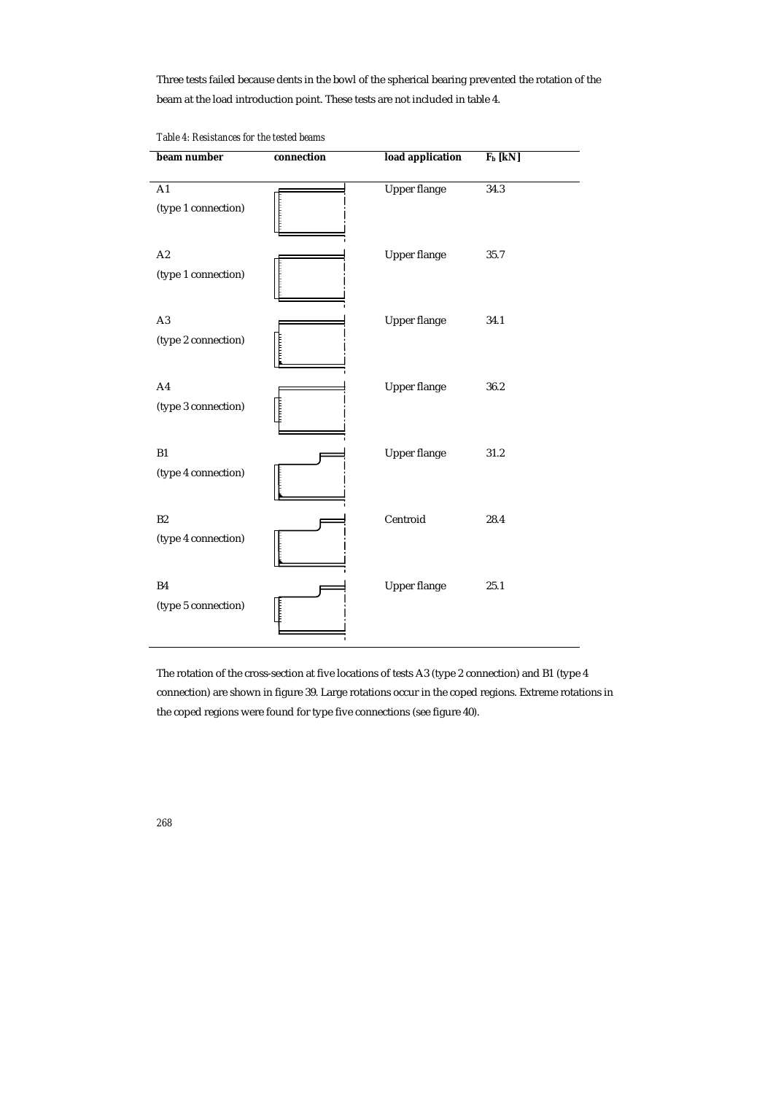Three tests failed because dents in the bowl of the spherical bearing prevented the rotation of the beam at the load introduction point. These tests are not included in table 4.

| beam number                           | connection | load application    | $F_b$ [kN] |
|---------------------------------------|------------|---------------------|------------|
| A1<br>(type 1 connection)             |            | <b>Upper flange</b> | 34.3       |
| A2<br>(type 1 connection)             |            | <b>Upper flange</b> | 35.7       |
| $\mathbf{A}3$<br>(type 2 connection)  |            | <b>Upper flange</b> | 34.1       |
| A <sub>4</sub><br>(type 3 connection) |            | <b>Upper flange</b> | 36.2       |
| B1<br>(type 4 connection)             |            | <b>Upper flange</b> | 31.2       |
| B2<br>(type 4 connection)             |            | Centroid            | 28.4       |
| <b>B4</b><br>(type 5 connection)      |            | <b>Upper flange</b> | 25.1       |

*Table 4: Resistances for the tested beams* 

The rotation of the cross-section at five locations of tests A3 (type 2 connection) and B1 (type 4 connection) are shown in figure 39. Large rotations occur in the coped regions. Extreme rotations in the coped regions were found for type five connections (see figure 40).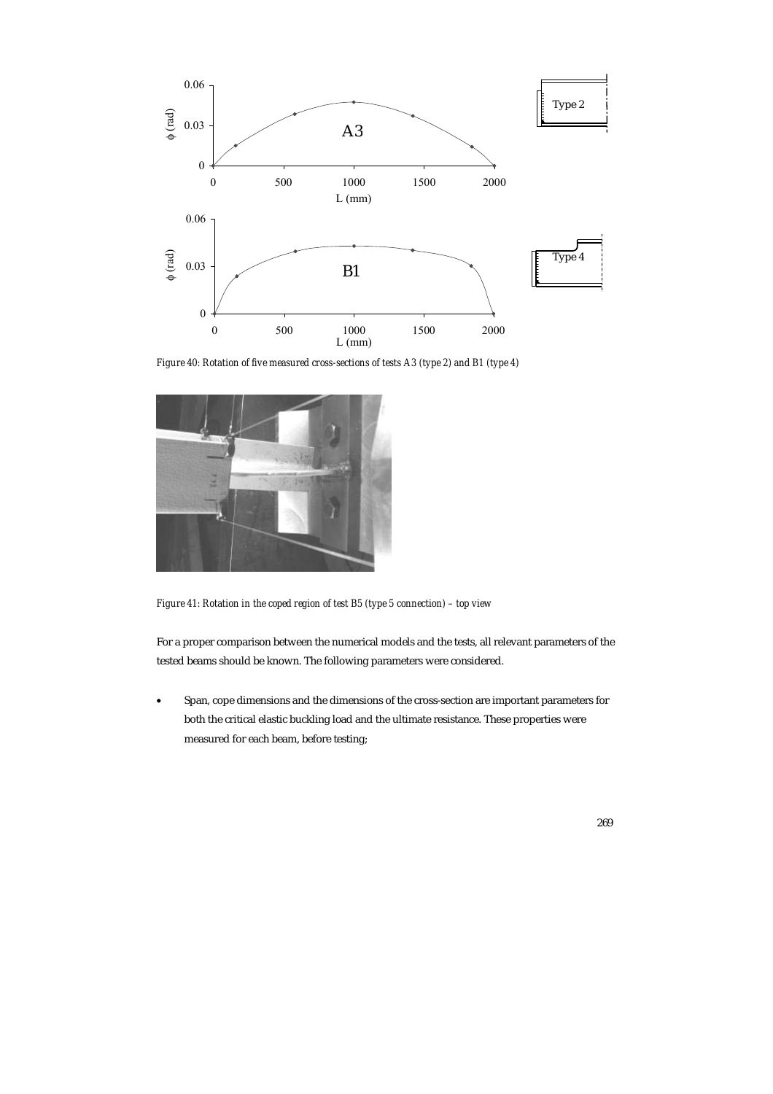

*Figure 40: Rotation of five measured cross-sections of tests A3 (type 2) and B1 (type 4)* 



*Figure 41: Rotation in the coped region of test B5 (type 5 connection) – top view* 

For a proper comparison between the numerical models and the tests, all relevant parameters of the tested beams should be known. The following parameters were considered.

• Span, cope dimensions and the dimensions of the cross-section are important parameters for both the critical elastic buckling load and the ultimate resistance. These properties were measured for each beam, before testing;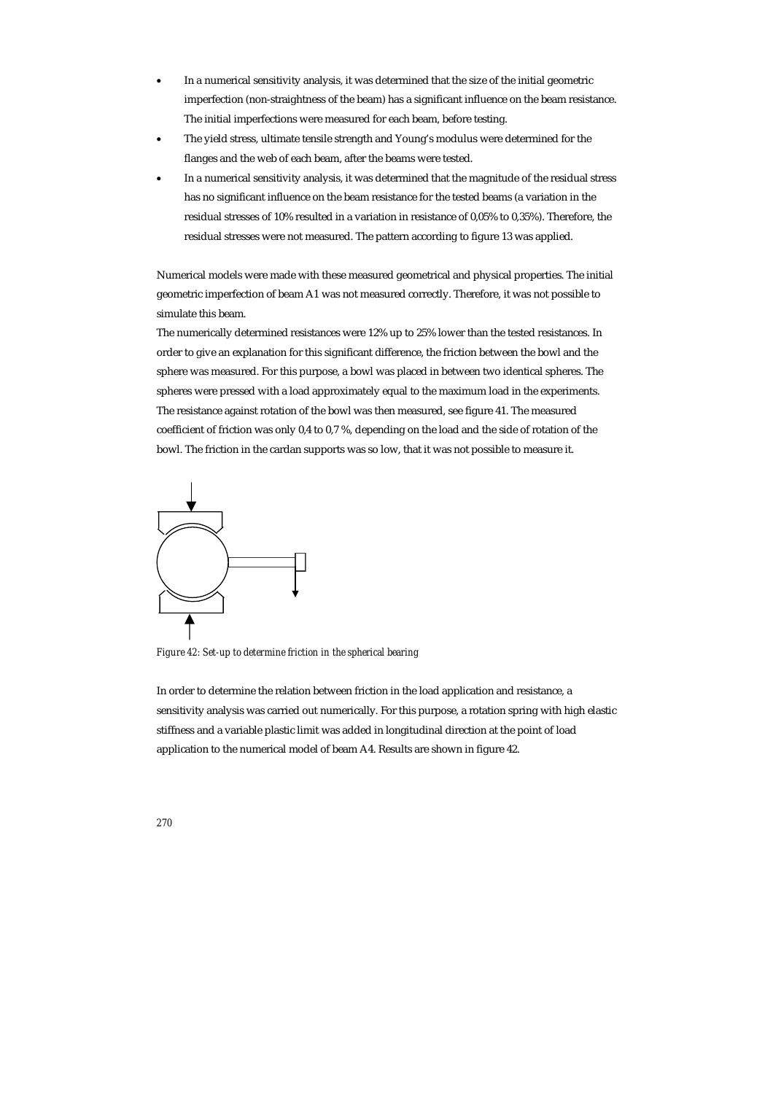- In a numerical sensitivity analysis, it was determined that the size of the initial geometric imperfection (non-straightness of the beam) has a significant influence on the beam resistance. The initial imperfections were measured for each beam, before testing.
- The yield stress, ultimate tensile strength and Young's modulus were determined for the flanges and the web of each beam, after the beams were tested.
- In a numerical sensitivity analysis, it was determined that the magnitude of the residual stress has no significant influence on the beam resistance for the tested beams (a variation in the residual stresses of 10% resulted in a variation in resistance of 0,05% to 0,35%). Therefore, the residual stresses were not measured. The pattern according to figure 13 was applied.

Numerical models were made with these measured geometrical and physical properties. The initial geometric imperfection of beam A1 was not measured correctly. Therefore, it was not possible to simulate this beam.

The numerically determined resistances were 12% up to 25% lower than the tested resistances. In order to give an explanation for this significant difference, the friction between the bowl and the sphere was measured. For this purpose, a bowl was placed in between two identical spheres. The spheres were pressed with a load approximately equal to the maximum load in the experiments. The resistance against rotation of the bowl was then measured, see figure 41. The measured coefficient of friction was only 0,4 to 0,7 %, depending on the load and the side of rotation of the bowl. The friction in the cardan supports was so low, that it was not possible to measure it.



*Figure 42: Set-up to determine friction in the spherical bearing* 

In order to determine the relation between friction in the load application and resistance, a sensitivity analysis was carried out numerically. For this purpose, a rotation spring with high elastic stiffness and a variable plastic limit was added in longitudinal direction at the point of load application to the numerical model of beam A4. Results are shown in figure 42.